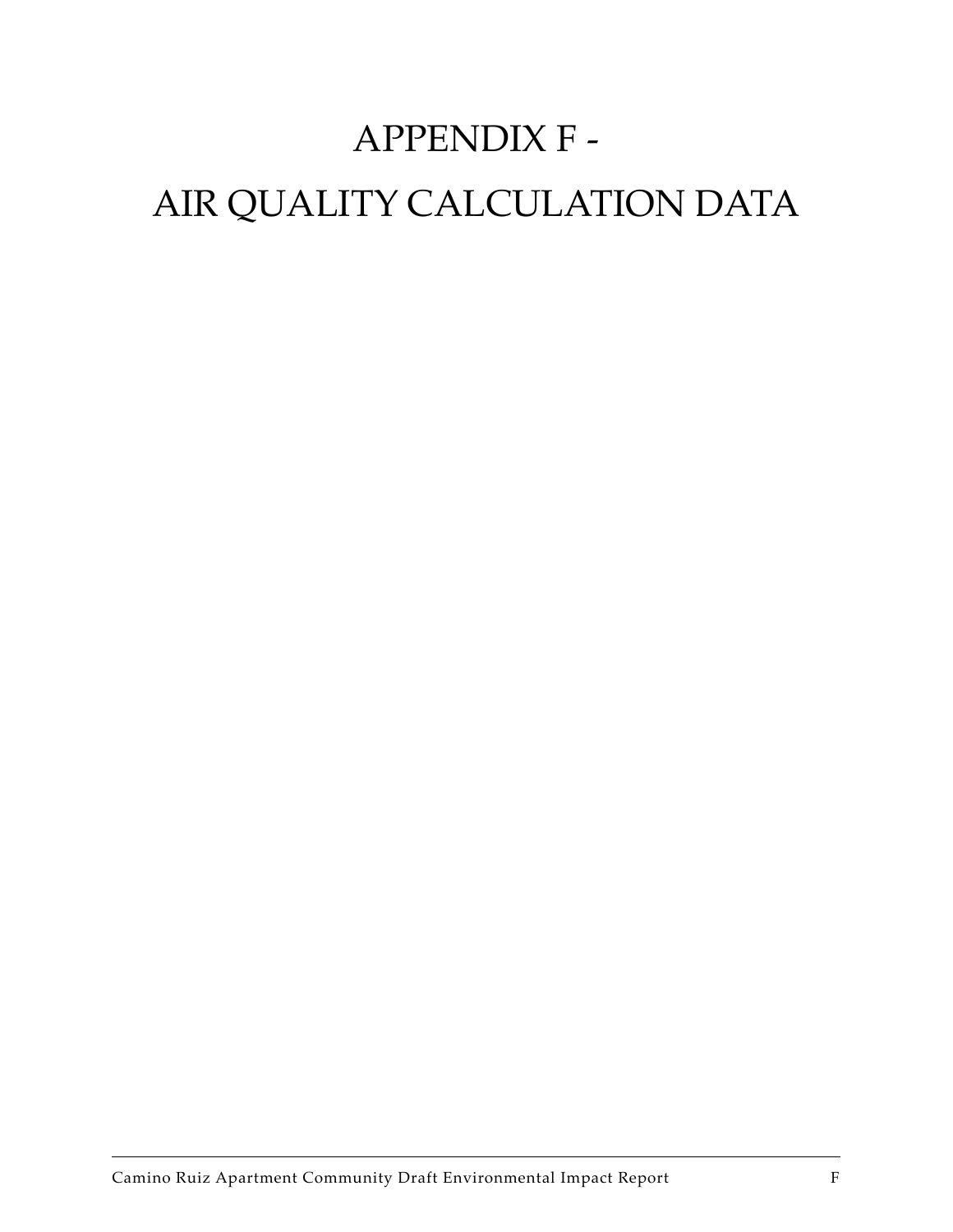# APPENDIX F - AIR QUALITY CALCULATION DATA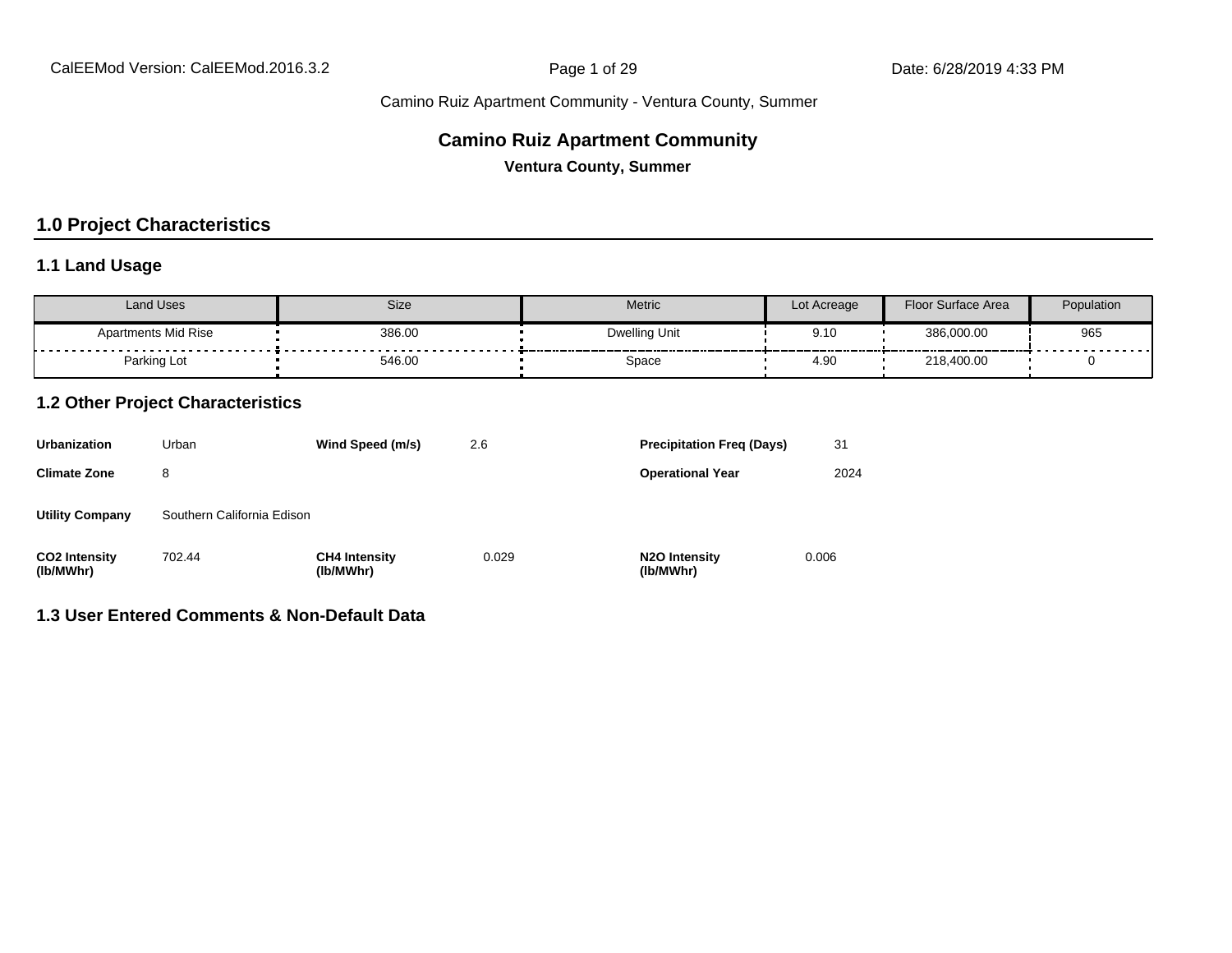#### **Camino Ruiz Apartment Community**

**Ventura County, Summer**

#### **1.0 Project Characteristics**

#### **1.1 Land Usage**

| Land Uses                  | Size   | <b>Metric</b> | Lot Acreage | Floor Surface Area | Population             |
|----------------------------|--------|---------------|-------------|--------------------|------------------------|
| <b>Apartments Mid Rise</b> | 386.00 | Dwelling Unit | 9.1C        | 386,000.00         | 965<br>--------------- |
| Parking Lot                | 546.00 | Space         | 4.90        | 218,400.00         |                        |

#### **1.2 Other Project Characteristics**

| <b>Urbanization</b>               | Urban                      | Wind Speed (m/s)                  | 2.6   | <b>Precipitation Freg (Days)</b>        | 31    |
|-----------------------------------|----------------------------|-----------------------------------|-------|-----------------------------------------|-------|
| <b>Climate Zone</b>               | 8                          |                                   |       | <b>Operational Year</b>                 | 2024  |
| <b>Utility Company</b>            | Southern California Edison |                                   |       |                                         |       |
| <b>CO2 Intensity</b><br>(lb/MWhr) | 702.44                     | <b>CH4 Intensity</b><br>(lb/MWhr) | 0.029 | N <sub>2</sub> O Intensity<br>(lb/MWhr) | 0.006 |

#### **1.3 User Entered Comments & Non-Default Data**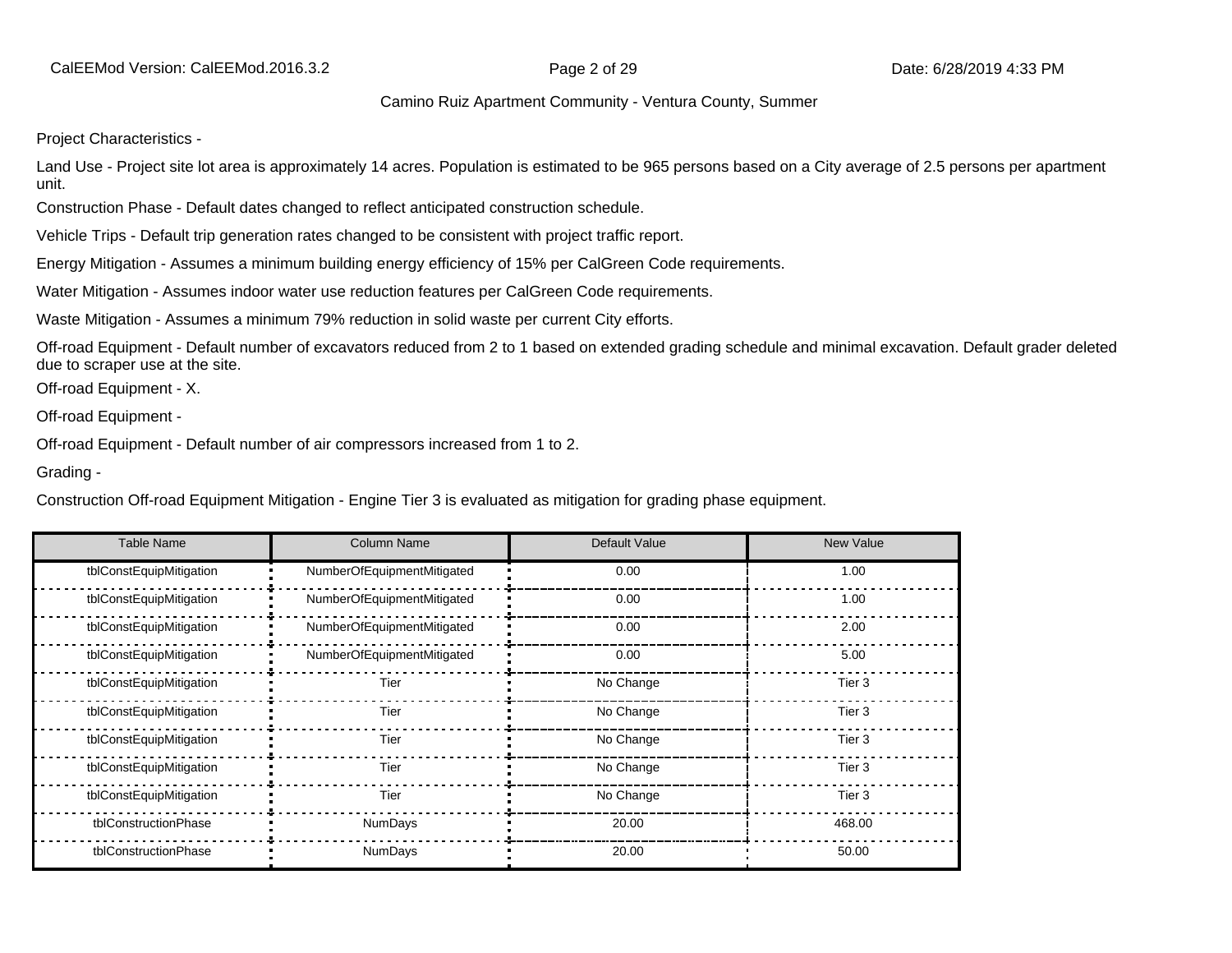CalEEMod Version: CalEEMod.2016.3.2 **Page 2 of 29 Date: 6/28/2019 4:33 PM** 

#### Camino Ruiz Apartment Community - Ventura County, Summer

Project Characteristics -

Land Use - Project site lot area is approximately 14 acres. Population is estimated to be 965 persons based on a City average of 2.5 persons per apartment unit.

Construction Phase - Default dates changed to reflect anticipated construction schedule.

Vehicle Trips - Default trip generation rates changed to be consistent with project traffic report.

Energy Mitigation - Assumes a minimum building energy efficiency of 15% per CalGreen Code requirements.

Water Mitigation - Assumes indoor water use reduction features per CalGreen Code requirements.

Waste Mitigation - Assumes a minimum 79% reduction in solid waste per current City efforts.

Off-road Equipment - Default number of excavators reduced from 2 to 1 based on extended grading schedule and minimal excavation. Default grader deleted due to scraper use at the site.

Off-road Equipment - X.

Off-road Equipment -

Off-road Equipment - Default number of air compressors increased from 1 to 2.

Grading -

Construction Off-road Equipment Mitigation - Engine Tier 3 is evaluated as mitigation for grading phase equipment.

| <b>Table Name</b>       | <b>Column Name</b>         | Default Value | <b>New Value</b>  |
|-------------------------|----------------------------|---------------|-------------------|
| tblConstEquipMitigation | NumberOfEquipmentMitigated | 0.00          | 1.00              |
| tblConstEquipMitigation | NumberOfEquipmentMitigated | 0.00          | 1.00              |
| tblConstEquipMitigation | NumberOfEquipmentMitigated | 0.00          | 2.00              |
| tblConstEquipMitigation | NumberOfEquipmentMitigated | 0.00          | 5.00              |
| tblConstEquipMitigation | Tier                       | No Change     | Tier 3            |
| tblConstEquipMitigation | Tier                       | No Change     | Tier 3            |
| tblConstEquipMitigation | Tier                       | No Change     | Tier 3            |
| tblConstEquipMitigation | Tier                       | No Change     | Tier <sub>3</sub> |
| tblConstEquipMitigation | Tier                       | No Change     | Tier 3            |
| tblConstructionPhase    | <b>NumDays</b>             | 20.00         | 468.00            |
| tblConstructionPhase    | <b>NumDays</b>             | 20.00         | 50.00             |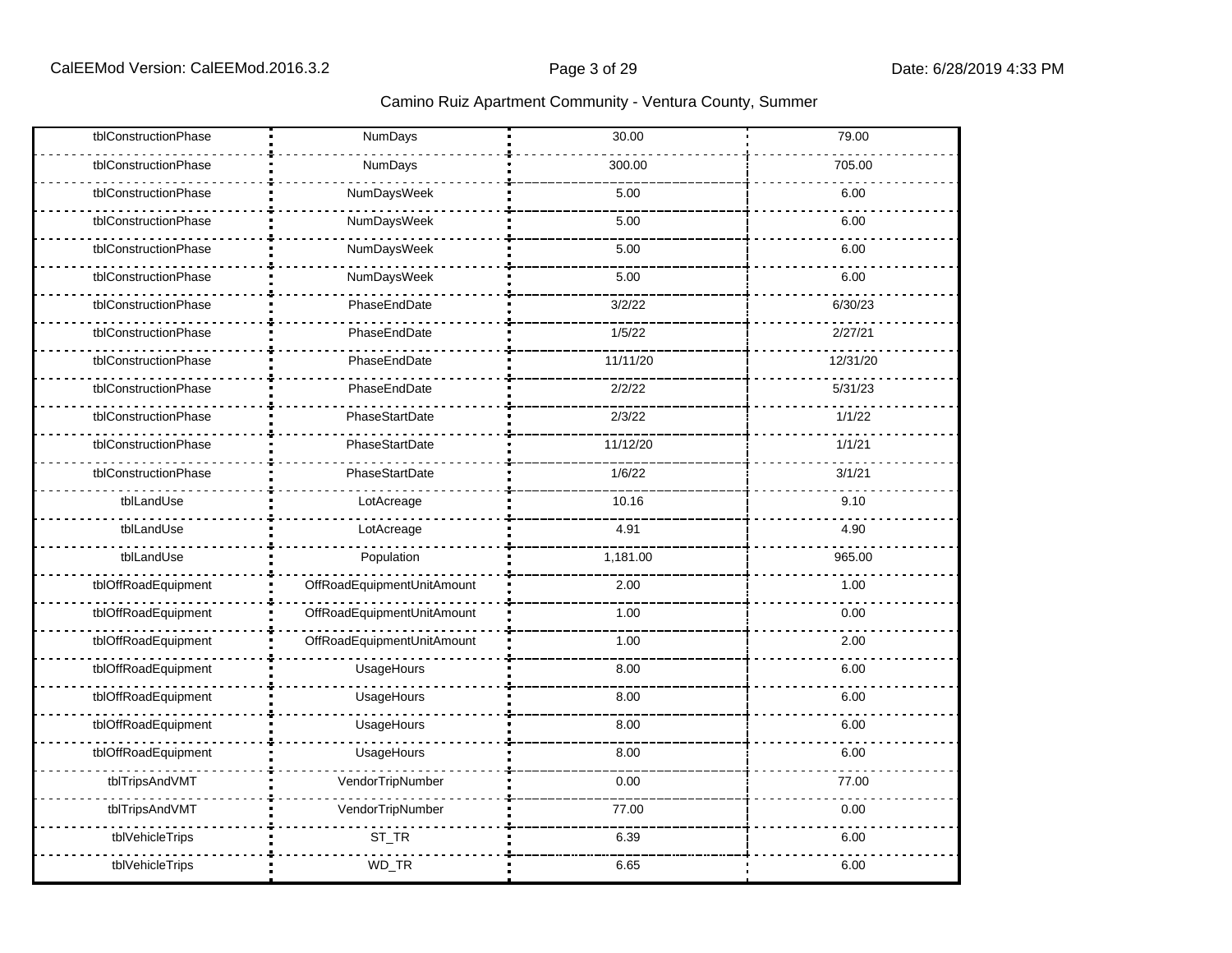| tblConstructionPhase | NumDays                    | 30.00    | 79.00    |
|----------------------|----------------------------|----------|----------|
| tblConstructionPhase | NumDays                    | 300.00   | 705.00   |
| tblConstructionPhase | NumDaysWeek                | 5.00     | 6.00     |
| tblConstructionPhase | NumDaysWeek                | 5.00     | 6.00     |
| tblConstructionPhase | NumDaysWeek                | 5.00     | 6.00     |
| tblConstructionPhase | NumDaysWeek                | 5.00     | 6.00     |
| tblConstructionPhase | PhaseEndDate               | 3/2/22   | 6/30/23  |
| tblConstructionPhase | PhaseEndDate               | 1/5/22   | 2/27/21  |
| tblConstructionPhase | PhaseEndDate               | 11/11/20 | 12/31/20 |
| tblConstructionPhase | PhaseEndDate               | 2/2/22   | 5/31/23  |
| tblConstructionPhase | PhaseStartDate             | 2/3/22   | 1/1/22   |
| tblConstructionPhase | PhaseStartDate             | 11/12/20 | 1/1/21   |
| tblConstructionPhase | PhaseStartDate             | 1/6/22   | 3/1/21   |
| tblLandUse           | LotAcreage                 | 10.16    | 9.10     |
| tblLandUse           | LotAcreage                 | 4.91     | 4.90     |
| tblLandUse           | Population                 | 1,181.00 | 965.00   |
| tblOffRoadEquipment  | OffRoadEquipmentUnitAmount | 2.00     | 1.00     |
| tblOffRoadEquipment  | OffRoadEquipmentUnitAmount | 1.00     | 0.00     |
| tblOffRoadEquipment  | OffRoadEquipmentUnitAmount | 1.00     | 2.00     |
| tblOffRoadEquipment  | UsageHours                 | 8.00     | 6.00     |
| tblOffRoadEquipment  | UsageHours                 | 8.00     | 6.00     |
| tblOffRoadEquipment  | UsageHours                 | 8.00     | 6.00     |
| tblOffRoadEquipment  | UsageHours                 | 8.00     | 6.00     |
| tblTripsAndVMT       | VendorTripNumber           | 0.00     | 77.00    |
| tblTripsAndVMT       | VendorTripNumber           | 77.00    | 0.00     |
| tblVehicleTrips      | ST_TR                      | 6.39     | 6.00     |
| tblVehicleTrips      | WD_TR                      | 6.65     | 6.00     |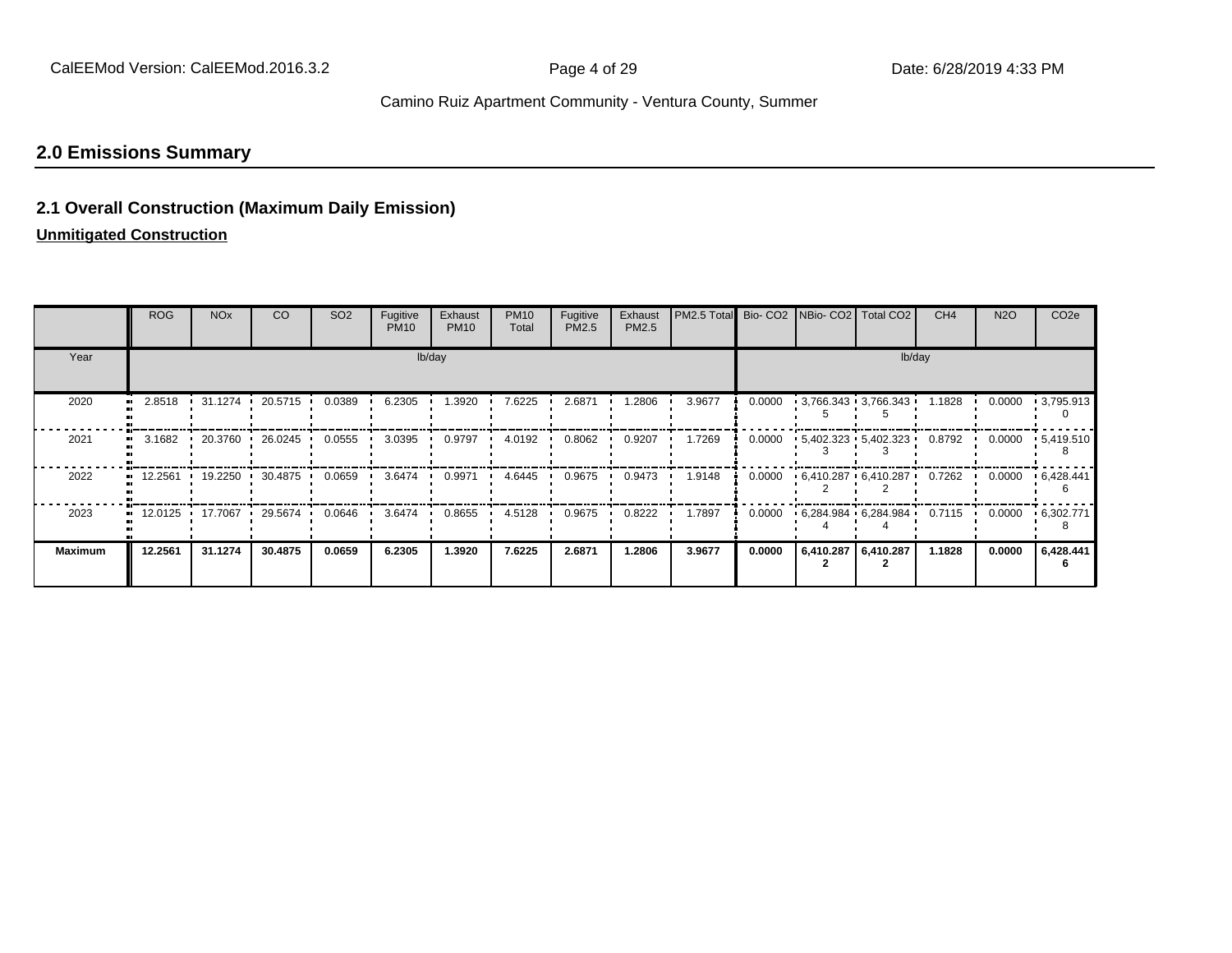# **2.0 Emissions Summary**

#### **2.1 Overall Construction (Maximum Daily Emission)**

#### **Unmitigated Construction**

|                | <b>ROG</b> | <b>NO<sub>x</sub></b> | CO      | SO <sub>2</sub> | Fugitive<br><b>PM10</b> | Exhaust<br><b>PM10</b> | <b>PM10</b><br>Total | Fugitive<br>PM2.5 | Exhaust<br>PM2.5 | PM2.5 Total Bio- CO2 NBio- CO2 Total CO2 |        |  |                                             | CH <sub>4</sub> | <b>N2O</b> | CO <sub>2e</sub>  |
|----------------|------------|-----------------------|---------|-----------------|-------------------------|------------------------|----------------------|-------------------|------------------|------------------------------------------|--------|--|---------------------------------------------|-----------------|------------|-------------------|
| Year           |            | lb/day                |         |                 |                         |                        |                      |                   |                  |                                          | lb/day |  |                                             |                 |            |                   |
| 2020           | 2.8518     | 31.1274               | 20.5715 | 0.0389          | 6.2305                  | 1.3920                 | 7.6225               | 2.6871            | 1.2806           | 3.9677                                   | 0.0000 |  | $\cdot$ 3,766.343 $\cdot$ 3,766.343 $\cdot$ | 1.1828          | 0.0000     | $\cdot$ 3,795.913 |
| 2021           | 3.1682     | .20.3760              | 26.0245 | 0.0555          | 3.0395                  | 0.9797                 | 4.0192               | 0.8062            | 0.9207           | 1.7269                                   | 0.0000 |  | $-5,402.323 - 5,402.323$                    | 0.8792          | 0.0000     | $-5,419.510$      |
| 2022           | 12.2561    | $+ 19.2250$           | 30.4875 | 0.0659          | 3.6474                  | 0.9971                 | 4.6445               | 0.9675            | 0.9473           | 1.9148                                   | 0.0000 |  | $+6,410.287 + 6,410.287$                    | 0.7262          | 0.0000     | .6,428.441        |
| 2023           |            | 12.0125 17.7067       | 29.5674 | 0.0646          | 3.6474                  | 0.8655                 | 4.5128               | 0.9675            | 0.8222           | 1.7897                                   | 0.0000 |  | $6,284.984$ $6,284.984$                     | 0.7115          | 0.0000     | .6,302.771        |
| <b>Maximum</b> | 12.2561    | 31.1274               | 30.4875 | 0.0659          | 6.2305                  | 1.3920                 | 7.6225               | 2.6871            | 1.2806           | 3.9677                                   | 0.0000 |  | 6,410.287   6,410.287                       | 1.1828          | 0.0000     | 6,428.441         |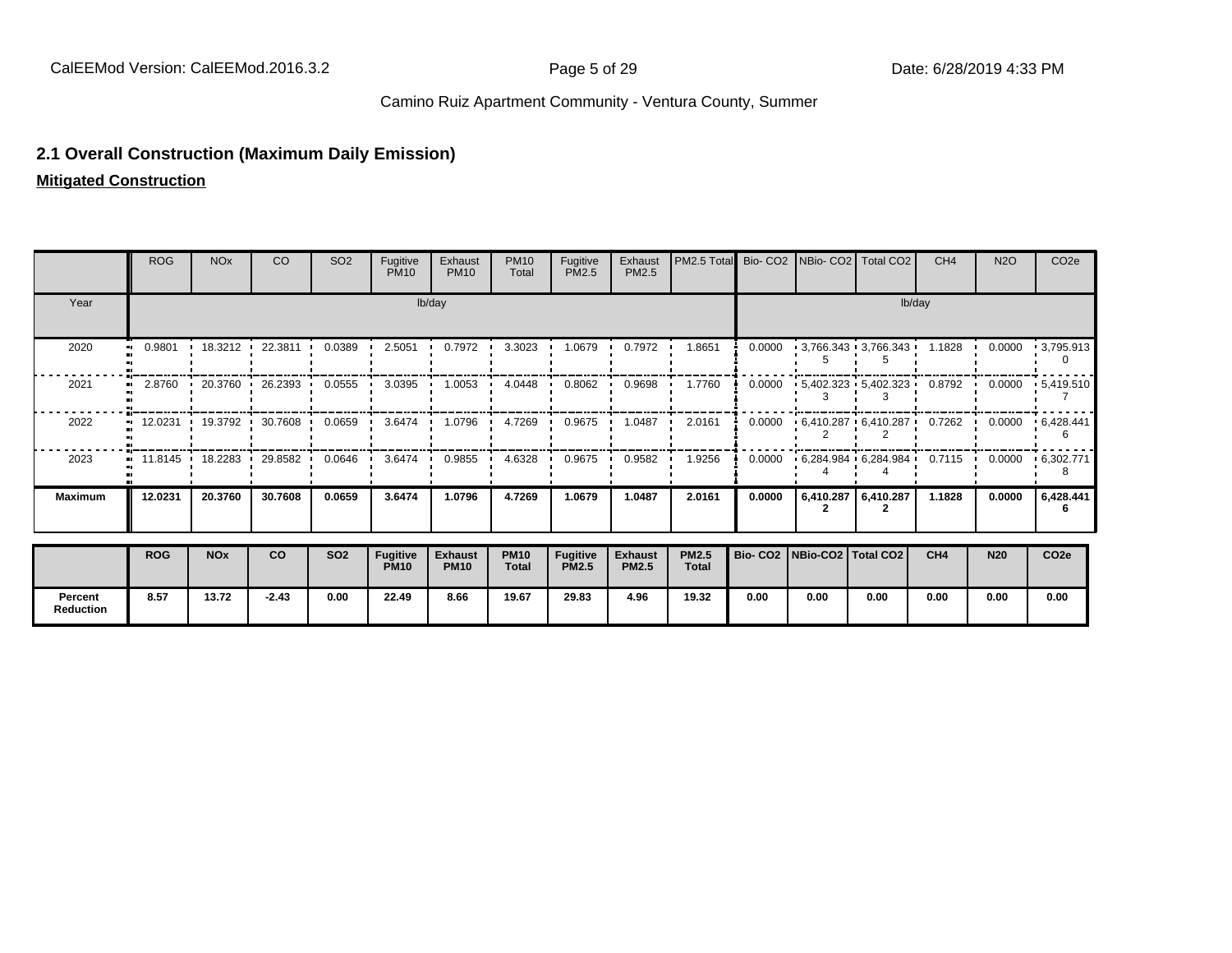#### **2.1 Overall Construction (Maximum Daily Emission)**

**Mitigated Construction**

**Percent Reduction**

|                | <b>ROG</b>          | <b>NO<sub>x</sub></b> | CO        | SO <sub>2</sub> | Fugitive<br><b>PM10</b>        | Exhaust<br><b>PM10</b>        | <b>PM10</b><br>Total | Fugitive<br>PM2.5               | Exhaust<br>PM2.5               | PM2.5 Total                  |                                 | Bio- CO2 NBio- CO2 | Total CO <sub>2</sub>    | CH <sub>4</sub> | <b>N2O</b> | CO <sub>2e</sub> |
|----------------|---------------------|-----------------------|-----------|-----------------|--------------------------------|-------------------------------|----------------------|---------------------------------|--------------------------------|------------------------------|---------------------------------|--------------------|--------------------------|-----------------|------------|------------------|
| Year           |                     | lb/day                |           |                 |                                |                               |                      |                                 |                                |                              |                                 |                    |                          | lb/day          |            |                  |
| 2020           | 0.9801<br>$\bullet$ | 18.3212               | 22.3811   | 0.0389          | 2.5051                         | 0.7972                        | 3.3023               | 1.0679                          | 0.7972                         | 1.8651                       | 0.0000                          |                    | $-3,766.343 - 3,766.343$ | 1.1828          | 0.0000     | $-3,795.913$     |
| 2021           | 2.8760              | 20.3760               | 26.2393   | 0.0555          | 3.0395                         | 1.0053                        | 4.0448               | 0.8062                          | 0.9698                         | 1.7760                       | 0.0000                          |                    | $-5,402.323 - 5,402.323$ | 0.8792          | 0.0000     | .5,419.510       |
| 2022           |                     | 12.0231 19.3792 1     | 30.7608 · | 0.0659          | 3.6474                         | 1.0796                        | 4.7269               | 0.9675                          | 1.0487                         | 2.0161                       | 0.0000                          |                    | $6,410.287$ $6,410.287$  | 0.7262          | 0.0000     | .6,428.441       |
| 2023           | $11.8145$ $\cdot$   | 18.2283               | 29.8582   | 0.0646          | 3.6474                         | 0.9855                        | 4.6328               | 0.9675                          | 0.9582                         | 1.9256                       | 0.0000                          |                    | $6,284.984$ $6,284.984$  | 0.7115          | 0.0000     | .6,302.771       |
| <b>Maximum</b> | 12.0231             | 20.3760               | 30.7608   | 0.0659          | 3.6474                         | 1.0796                        | 4.7269               | 1.0679                          | 1.0487                         | 2.0161                       | 0.0000                          |                    | 6,410.287 6,410.287      | 1.1828          | 0.0000     | 6,428.441        |
|                | <b>ROG</b>          | <b>NOx</b>            | co        | <b>SO2</b>      | <b>Fugitive</b><br><b>PM10</b> | <b>Exhaust</b><br><b>PM10</b> | <b>PM10</b><br>Total | <b>Fugitive</b><br><b>PM2.5</b> | <b>Exhaust</b><br><b>PM2.5</b> | <b>PM2.5</b><br><b>Total</b> | Bio- CO2   NBio-CO2   Total CO2 |                    |                          | CH <sub>4</sub> | <b>N20</b> | CO <sub>2e</sub> |

**8.57 13.72 -2.43 0.00 22.49 8.66 19.67 29.83 4.96 19.32 0.00 0.00 0.00 0.00 0.00 0.00**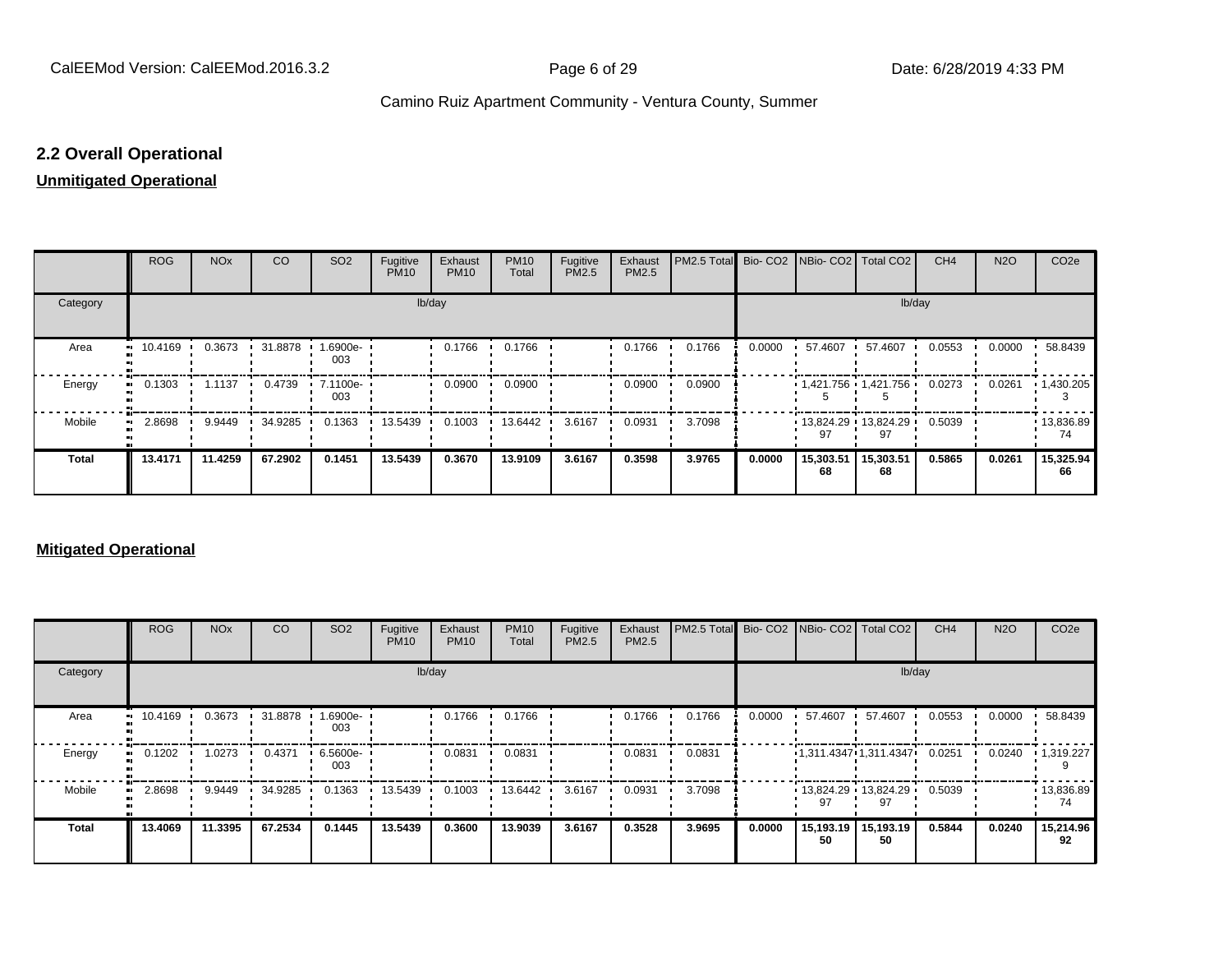#### **2.2 Overall Operational**

#### **Unmitigated Operational**

|              | <b>ROG</b>                 | <b>NO<sub>x</sub></b> | CO      | SO <sub>2</sub> | Fugitive<br><b>PM10</b> | Exhaust<br><b>PM10</b> | <b>PM10</b><br>Total | Fugitive<br>PM2.5 | Exhaust<br>PM2.5 | PM2.5 Total Bio- CO2 NBio- CO2 Total CO2 |        |                 |                               | CH <sub>4</sub> | <b>N2O</b> | CO <sub>2e</sub>  |
|--------------|----------------------------|-----------------------|---------|-----------------|-------------------------|------------------------|----------------------|-------------------|------------------|------------------------------------------|--------|-----------------|-------------------------------|-----------------|------------|-------------------|
| Category     |                            |                       |         |                 | lb/day                  |                        |                      |                   |                  |                                          |        |                 | lb/day                        |                 |            |                   |
| Area         | 10.4169<br>                | 0.3673                | 31.8878 | 1.6900e-<br>003 |                         | 0.1766                 | 0.1766               |                   | 0.1766           | 0.1766                                   | 0.0000 | 57.4607         | 57.4607                       | 0.0553          | 0.0000     | 58.8439           |
| Energy       | 0.1303                     | 1.1137                | 0.4739  | 7.1100e-<br>003 |                         | 0.0900                 | 0.0900               |                   | 0.0900           | 0.0900                                   |        |                 | $1,421.756$ $1,421.756$       | 0.0273          | 0.0261     | $\cdot$ 1,430.205 |
| Mobile       | 2.8698<br>$\bullet\bullet$ | 9.9449                | 34.9285 | 0.1363          | 13.5439                 | 0.1003                 | 13.6442              | 3.6167            | 0.0931           | 3.7098                                   |        | 97              | $13,824.29$ $13,824.29$<br>97 | 0.5039          |            | 13,836.89<br>74   |
| <b>Total</b> | 13.4171                    | 11.4259               | 67.2902 | 0.1451          | 13.5439                 | 0.3670                 | 13.9109              | 3.6167            | 0.3598           | 3.9765                                   | 0.0000 | 15,303.51<br>68 | 15,303.51<br>68               | 0.5865          | 0.0261     | 15,325.94<br>66   |

#### **Mitigated Operational**

|              | <b>ROG</b> | <b>NO<sub>x</sub></b> | CO      | SO <sub>2</sub>    | Fugitive<br><b>PM10</b> | Exhaust<br><b>PM10</b> | <b>PM10</b><br>Total | Fugitive<br>PM2.5 | Exhaust<br>PM2.5 | PM2.5 Total Bio- CO2 NBio- CO2 Total CO2 |        |         |                               | CH <sub>4</sub> | <b>N2O</b> | CO <sub>2</sub> e       |
|--------------|------------|-----------------------|---------|--------------------|-------------------------|------------------------|----------------------|-------------------|------------------|------------------------------------------|--------|---------|-------------------------------|-----------------|------------|-------------------------|
| Category     |            |                       |         |                    |                         | lb/day                 |                      |                   |                  |                                          |        |         | lb/day                        |                 |            |                         |
| Area         | 10.4169    | 0.3673                | 31.8878 | 1.6900e-<br>003    |                         | 0.1766                 | 0.1766               |                   | 0.1766           | 0.1766                                   | 0.0000 | 57.4607 | 57.4607                       | 0.0553          | 0.0000     | 58.8439                 |
| Energy       | 0.1202     | 1.0273                | 0.4371  | $6.5600e -$<br>003 |                         | 0.0831                 | 0.0831               |                   | 0.0831           | 0.0831                                   |        |         | 1,311.4347 1,311.4347         | 0.0251          | 0.0240     | $\cdot$ 1,319.227       |
| Mobile       | 2.8698     | 9.9449                | 34.9285 | 0.1363             | 13.5439                 | 0.1003                 | 13.6442              | 3.6167            | 0.0931           | 3.7098                                   |        | 97      | $13,824.29$ $13,824.29$<br>97 | 0.5039          |            | $\cdot$ 13,836.89<br>74 |
| <b>Total</b> | 13,4069    | 11.3395               | 67.2534 | 0.1445             | 13.5439                 | 0.3600                 | 13.9039              | 3.6167            | 0.3528           | 3.9695                                   | 0.0000 | 50      | 15,193.19   15,193.19<br>50   | 0.5844          | 0.0240     | 15,214.96<br>92         |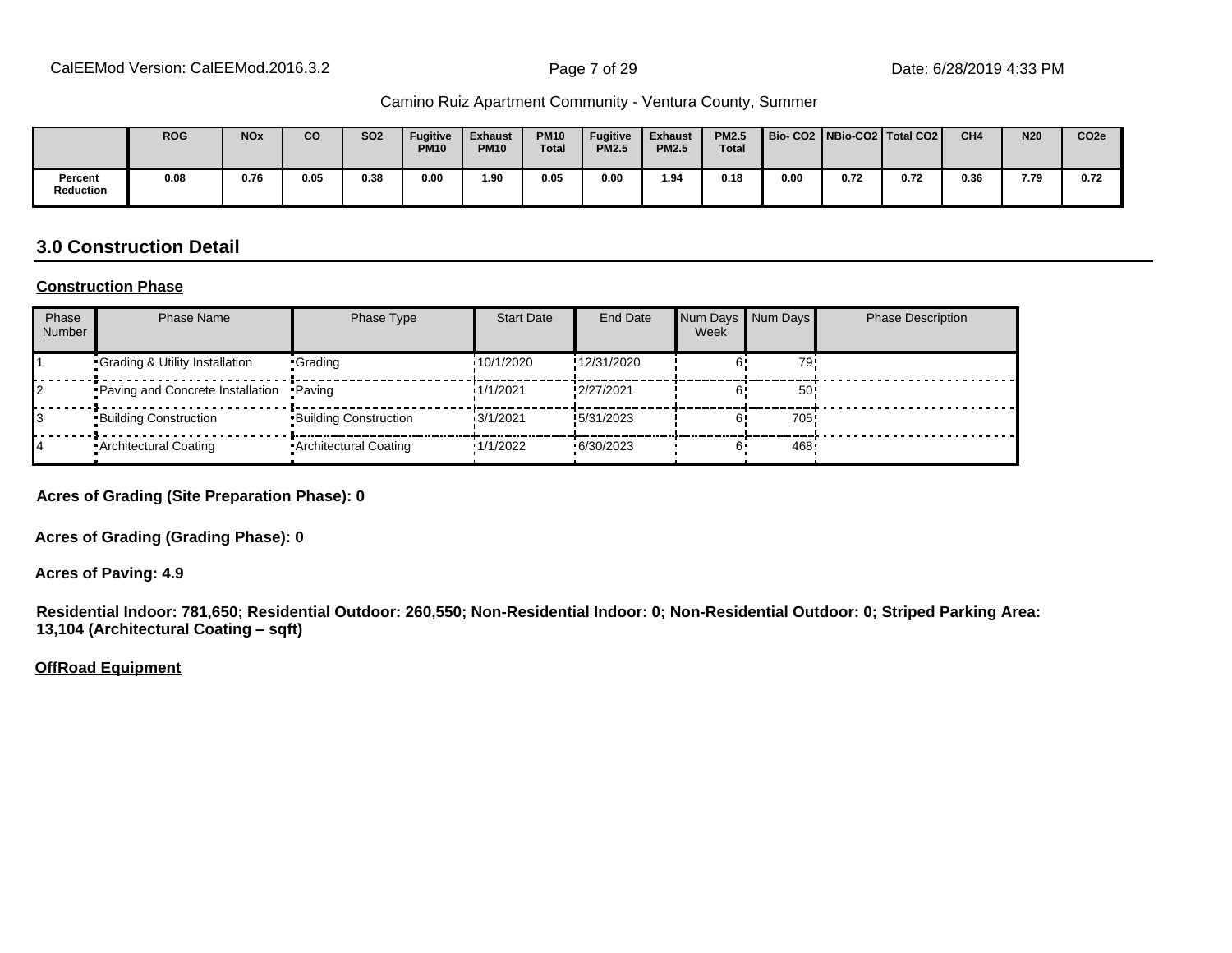|                      | <b>ROG</b> | <b>NO<sub>x</sub></b> | <b>CO</b> | <b>SO2</b> | Fugitive<br><b>PM10</b> | <b>Exhaust</b><br><b>PM10</b> | <b>PM10</b><br><b>Total</b> | <b>Fugitive</b><br><b>PM2.5</b> | <b>Exhaust</b><br><b>PM2.5</b> | <b>PM2.5</b><br><b>Total</b> |      |      | Bio-CO2   NBio-CO2   Total CO2 | CH <sub>4</sub> | <b>N20</b> | CO <sub>2e</sub> |
|----------------------|------------|-----------------------|-----------|------------|-------------------------|-------------------------------|-----------------------------|---------------------------------|--------------------------------|------------------------------|------|------|--------------------------------|-----------------|------------|------------------|
| Percent<br>Reduction | 0.08       | 0.76                  | 0.05      | 0.38       | 0.00                    | 1.90                          | 0.05                        | 0.00                            | 1.94                           | 0.18                         | 0.00 | 0.72 | 0.72                           | 0.36            | 7.79       | 0.72             |

#### **3.0 Construction Detail**

#### **Construction Phase**

| Phase<br><b>Number</b> | <b>Phase Name</b>                       | Phase Type              | <b>Start Date</b> | <b>End Date</b> | Num Days Num Days<br>Week |                 | <b>Phase Description</b> |
|------------------------|-----------------------------------------|-------------------------|-------------------|-----------------|---------------------------|-----------------|--------------------------|
|                        | Grading & Utility Installation          | •Grading                | 10/1/2020         | !12/31/2020     |                           | 79              |                          |
|                        | Paving and Concrete Installation Paving |                         | 1/1/2021          | !2/27/2021      |                           | 50 <sup>°</sup> |                          |
|                        | <b>Building Construction</b>            | Building Construction   | 13/1/2021         | !5/31/2023      |                           | 705             |                          |
|                        | Architectural Coating                   | • Architectural Coating | 1/1/2022          | .6/30/2023      |                           | 468             |                          |

**Acres of Grading (Site Preparation Phase): 0**

**Acres of Grading (Grading Phase): 0**

**Acres of Paving: 4.9**

**Residential Indoor: 781,650; Residential Outdoor: 260,550; Non-Residential Indoor: 0; Non-Residential Outdoor: 0; Striped Parking Area: 13,104 (Architectural Coating ±sqft)**

**OffRoad Equipment**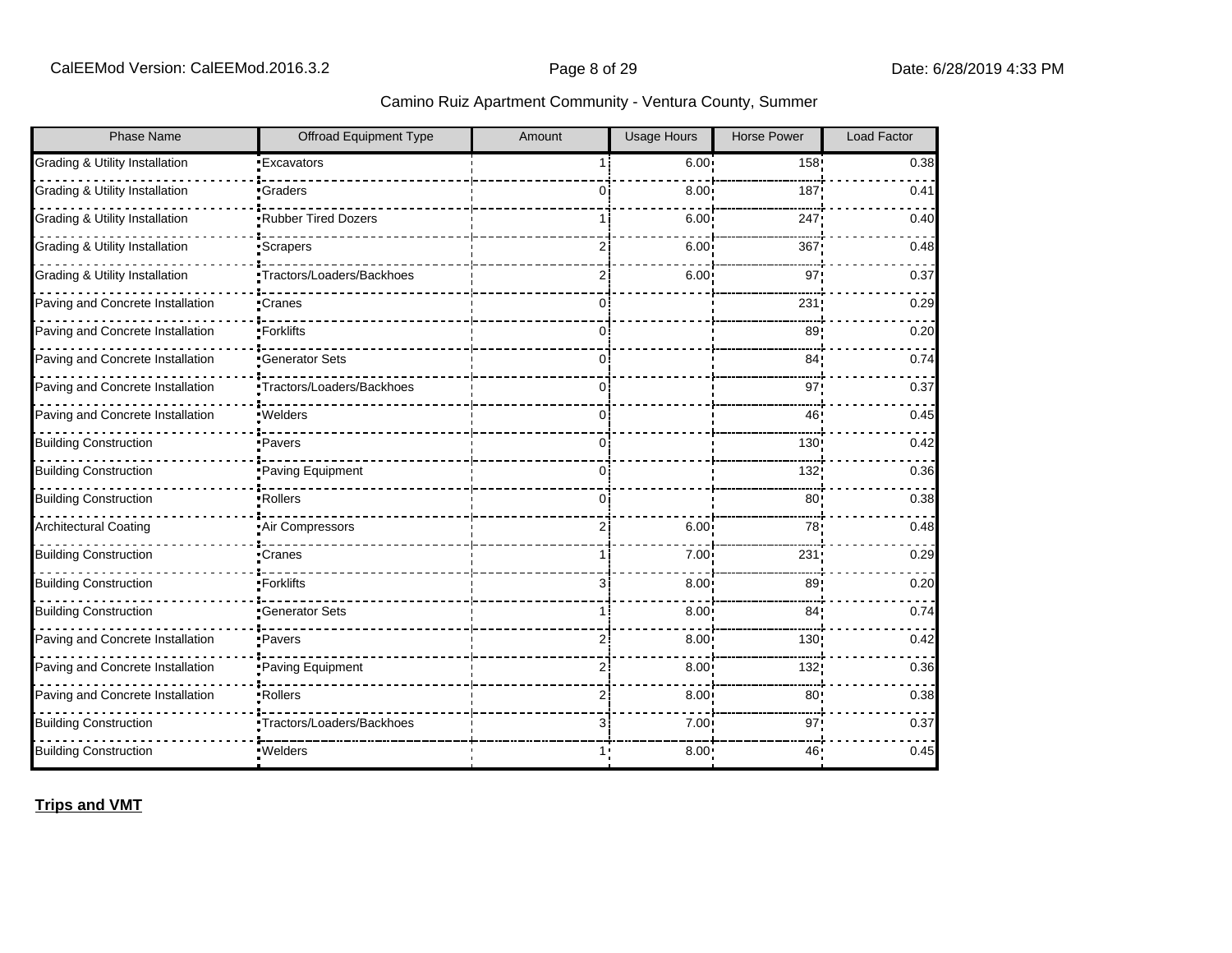| Phase Name                       | <b>Offroad Equipment Type</b> | Amount         | <b>Usage Hours</b> | <b>Horse Power</b> | Load Factor |
|----------------------------------|-------------------------------|----------------|--------------------|--------------------|-------------|
| Grading & Utility Installation   | <b>Excavators</b>             |                | 6.00 <sup>1</sup>  | 158!               | 0.38        |
| Grading & Utility Installation   | Graders                       | 0 i            | 8.00               | 187                | 0.41        |
| Grading & Utility Installation   | Rubber Tired Dozers           |                | 6.00               | 247                | 0.40        |
| Grading & Utility Installation   | <b>Scrapers</b>               | $\overline{2}$ | 6.00               | 367                | 0.48        |
| Grading & Utility Installation   | Tractors/Loaders/Backhoes     | 2i             | $6.00^{\circ}$     | 97                 | 0.37        |
| Paving and Concrete Installation | <b>Cranes</b>                 | 0 i            |                    | 231                | 0.29        |
| Paving and Concrete Installation | •Forklifts                    | 0i             |                    | 89                 | 0.20        |
| Paving and Concrete Installation | <b>Generator Sets</b>         | Ωi             |                    | 84 <sub>1</sub>    | 0.74        |
| Paving and Concrete Installation | •Tractors/Loaders/Backhoes    | 0              |                    | 97                 | 0.37        |
| Paving and Concrete Installation | ·Welders                      | 0 i            |                    | 46                 | 0.45        |
| <b>Building Construction</b>     | •Pavers                       | Ωi             |                    | 130 <sub>1</sub>   | 0.42        |
| <b>Building Construction</b>     | Paving Equipment              | 0              |                    | 132!               | 0.36        |
| <b>Building Construction</b>     | -Rollers                      | Ωi             |                    | 80                 | 0.38        |
| <b>Architectural Coating</b>     | Air Compressors               | 2i             | 6.00               | 78                 | 0.48        |
| <b>Building Construction</b>     | ∙Cranes                       |                | 7.00               | 231                | 0.29        |
| <b>Building Construction</b>     | •Forklifts                    | 31             | 8.00               | 89                 | 0.20        |
| <b>Building Construction</b>     | <b>Generator Sets</b>         |                | 8.00               | 84                 | 0.74        |
| Paving and Concrete Installation | ·Pavers                       | 2ί             | $8.00^{\circ}$     | 130 <sub>1</sub>   | 0.42        |
| Paving and Concrete Installation | Paving Equipment              | 2i             | 8.00               | 132!               | 0.36        |
| Paving and Concrete Installation | •Rollers                      | 2i             | 8.00 <sub>1</sub>  | 80 <sub>1</sub>    | 0.38        |
| <b>Building Construction</b>     | •Tractors/Loaders/Backhoes    | 31             | 7.00               | 97                 | 0.37        |
| <b>Building Construction</b>     | ·Welders                      |                | 8.00               | 46                 | 0.45        |

**Trips and VMT**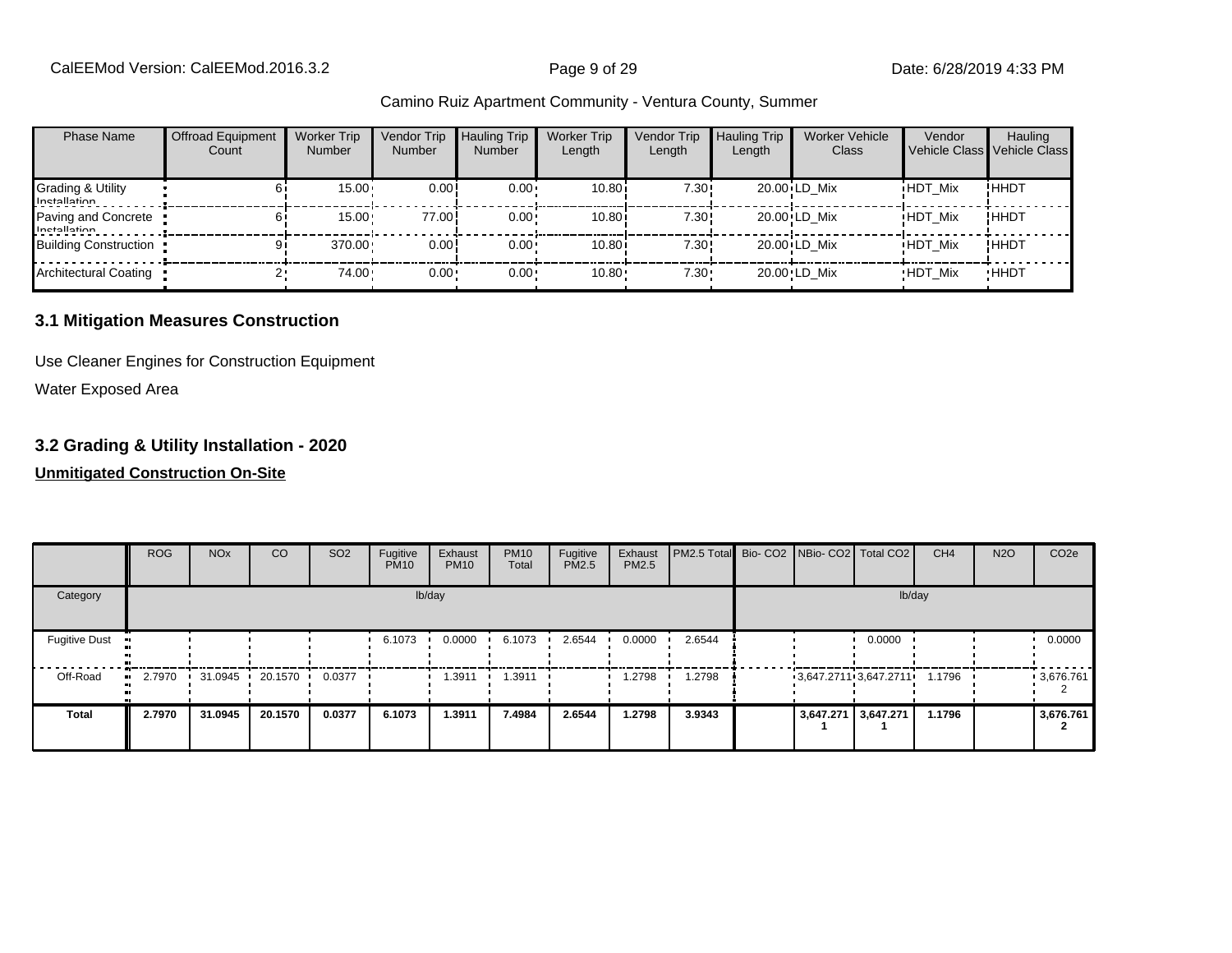| <b>Phase Name</b>                   | <b>Offroad Equipment</b><br>Count | <b>Worker Trip</b><br><b>Number</b> | Vendor Trip<br><b>Number</b> | <b>Hauling Trip</b><br><b>Number</b> | <b>Worker Trip</b><br>Length | Vendor Trip<br>Length | <b>Hauling Trip</b><br>Length | <b>Worker Vehicle</b><br>Class | Vendor         | Hauling<br>Vehicle Class Vehicle Class |
|-------------------------------------|-----------------------------------|-------------------------------------|------------------------------|--------------------------------------|------------------------------|-----------------------|-------------------------------|--------------------------------|----------------|----------------------------------------|
| Grading & Utility<br>Inetallation   |                                   | 15.00                               | 0.00!                        | $0.00 \cdot$                         | 10.80i                       | 7.30!                 |                               | 20.00 LD Mix                   | <b>HDT Mix</b> | !HHDT                                  |
| Paving and Concrete<br>Inetallation |                                   | 15.00                               | 77.00                        | $0.00 \cdot$                         | 10.80i                       | 7.30!                 |                               | 20.00 LD Mix                   | <b>HDT Mix</b> | !HHDT                                  |
| <b>Building Construction</b>        |                                   | 370.00                              | 0.00!                        | $0.00 \cdot$                         | 10.80i                       | 7.30!                 |                               | 20.00 LD Mix                   | <b>HDT Mix</b> | !ННDТ                                  |
| <b>Architectural Coating</b>        |                                   | 74.00                               | $0.00 -$                     | $0.00 \cdot$                         | $10.80 -$                    | 7.30:                 |                               | 20.00 LD Mix                   | <b>HDT Mix</b> | <b>HHDT</b>                            |

#### **3.1 Mitigation Measures Construction**

Use Cleaner Engines for Construction Equipment

Water Exposed Area

#### **3.2 Grading & Utility Installation - 2020**

|                             | <b>ROG</b>    | <b>NO<sub>x</sub></b> | CO      | SO <sub>2</sub> | Fugitive<br><b>PM10</b> | Exhaust<br><b>PM10</b> | <b>PM10</b><br>Total | Fugitive<br>PM2.5 | Exhaust<br><b>PM2.5</b> | PM2.5 Total Bio- CO2 NBio- CO2 Total CO2 |                       |                     | CH <sub>4</sub> | <b>N2O</b> | CO <sub>2</sub> e |
|-----------------------------|---------------|-----------------------|---------|-----------------|-------------------------|------------------------|----------------------|-------------------|-------------------------|------------------------------------------|-----------------------|---------------------|-----------------|------------|-------------------|
| Category                    |               |                       |         |                 |                         | lb/day                 |                      |                   |                         |                                          |                       |                     | lb/day          |            |                   |
| <b>Fugitive Dust</b><br>-98 |               |                       |         |                 | 6.1073                  | 0.0000                 | 6.1073               | 2.6544            | 0.0000                  | 2.6544                                   |                       | 0.0000              |                 |            | 0.0000            |
| Off-Road                    | 2.7970<br>. . | $31.0945$ $\cdot$     | 20.1570 | 0.0377          |                         | 1.3911                 | .3911                |                   | 1.2798                  | 1.2798                                   | 3,647.2711 3,647.2711 |                     | 1.1796          |            | 3,676.761         |
| <b>Total</b>                | 2.7970        | 31.0945               | 20.1570 | 0.0377          | 6.1073                  | 1.3911                 | 7.4984               | 2.6544            | 1.2798                  | 3.9343                                   |                       | 3,647.271 3,647.271 | 1.1796          |            | 3,676.761         |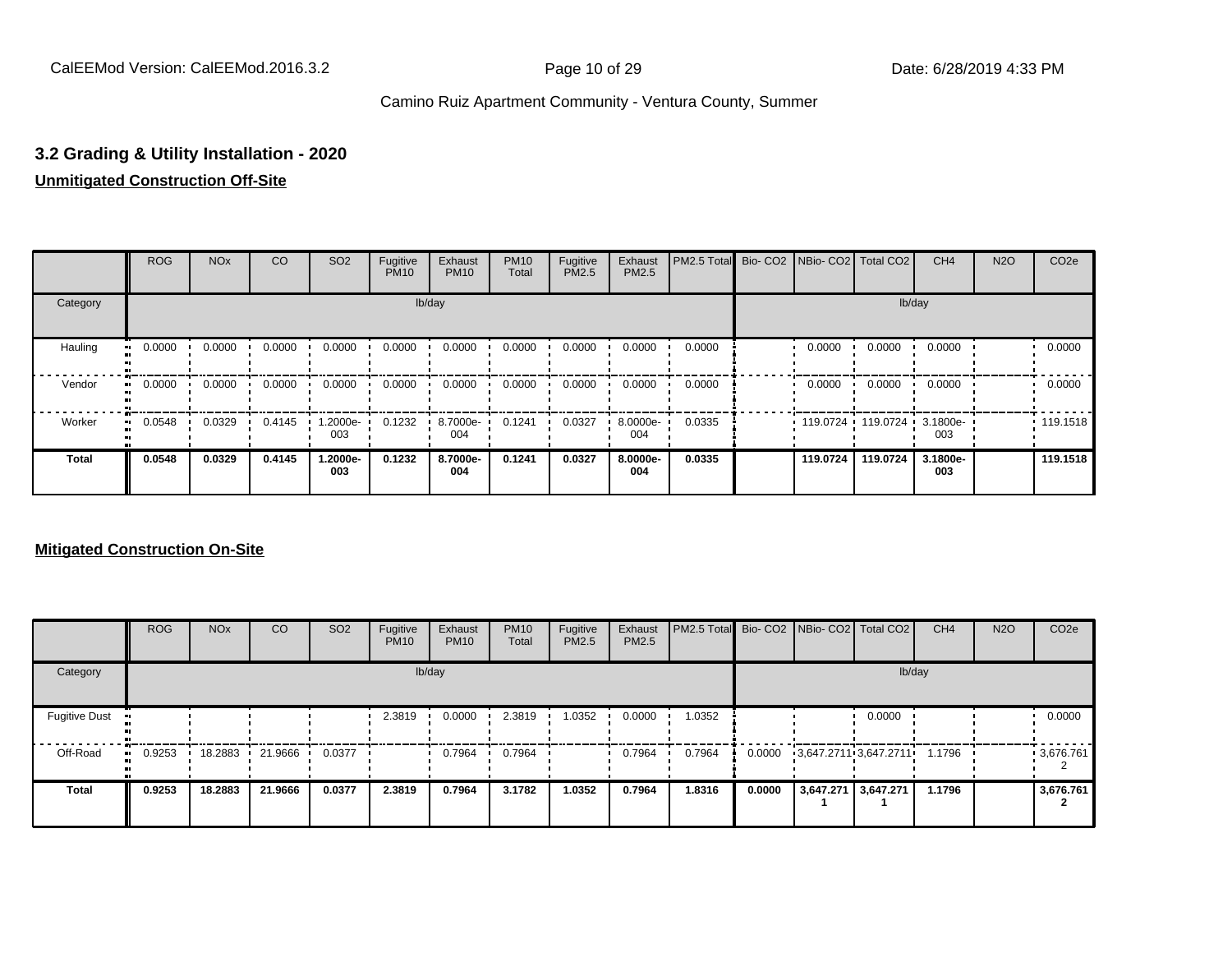#### **3.2 Grading & Utility Installation - 2020**

#### **Unmitigated Construction Off-Site**

|                           | <b>ROG</b>          | <b>NO<sub>x</sub></b> | CO     | SO <sub>2</sub>  | Fugitive<br><b>PM10</b> | Exhaust<br><b>PM10</b> | <b>PM10</b><br>Total | Fugitive<br><b>PM2.5</b> | Exhaust<br>PM2.5 | PM2.5 Total Bio- CO2 NBio- CO2 Total CO2 |          |                            | CH <sub>4</sub> | <b>N2O</b> | CO <sub>2e</sub> |
|---------------------------|---------------------|-----------------------|--------|------------------|-------------------------|------------------------|----------------------|--------------------------|------------------|------------------------------------------|----------|----------------------------|-----------------|------------|------------------|
| Category                  |                     |                       |        |                  |                         | lb/day                 |                      |                          |                  |                                          |          |                            | lb/day          |            |                  |
| Hauling<br>$\blacksquare$ | 0.0000              | 0.0000                | 0.0000 | 0.0000           | 0.0000                  | 0.0000                 | 0.0000               | 0.0000                   | 0.0000           | 0.0000                                   | 0.0000   | 0.0000                     | 0.0000          |            | 0.0000           |
| Vendor                    | 0.0000<br>$\bullet$ | 0.0000                | 0.0000 | 0.0000           | 0.0000                  | 0.0000                 | 0.0000               | 0.0000                   | 0.0000           | 0.0000                                   | 0.0000   | 0.0000                     | 0.0000          |            | 0.0000           |
| Worker                    | 0.0548<br>$\bullet$ | 0.0329                | 0.4145 | $.2000e-$<br>003 | 0.1232                  | 8.7000e-<br>004        | 0.1241               | 0.0327                   | 8.0000e-<br>004  | 0.0335                                   |          | 119.0724 119.0724 3.1800e- | 003             |            | .119.1518        |
| <b>Total</b>              | 0.0548              | 0.0329                | 0.4145 | 1.2000e-<br>003  | 0.1232                  | 8.7000e-<br>004        | 0.1241               | 0.0327                   | 8.0000e-<br>004  | 0.0335                                   | 119.0724 | 119.0724                   | 3.1800e-<br>003 |            | 119.1518         |

|                      | <b>ROG</b> | <b>NO<sub>x</sub></b> | <b>CO</b> | SO <sub>2</sub> | Fugitive<br><b>PM10</b> | Exhaust<br><b>PM10</b> | <b>PM10</b><br>Total | Fugitive<br><b>PM2.5</b> | Exhaust<br><b>PM2.5</b> | <b>PM2.5 Total</b> Bio- CO2 NBio- CO2 Total CO2 |        |                       |        | CH <sub>4</sub> | <b>N2O</b> | CO <sub>2e</sub> |
|----------------------|------------|-----------------------|-----------|-----------------|-------------------------|------------------------|----------------------|--------------------------|-------------------------|-------------------------------------------------|--------|-----------------------|--------|-----------------|------------|------------------|
| Category             |            |                       |           |                 |                         | lb/day                 |                      |                          |                         |                                                 |        |                       | lb/day |                 |            |                  |
| <b>Fugitive Dust</b> |            |                       |           |                 | 2.3819                  | 0.0000                 | 2.3819               | 1.0352                   | 0.0000                  | 1.0352                                          |        |                       | 0.0000 |                 |            | 0.0000           |
| Off-Road             | 0.9253<br> | 18.2883               | 21.9666   | 0.0377          |                         | 0.7964                 | 0.7964               |                          | 0.7964                  | 0.7964                                          | 0.0000 | 3,647.2711 3,647.2711 |        | 1.1796          |            | 3,676.761        |
| <b>Total</b>         | 0.9253     | 18.2883               | 21.9666   | 0.0377          | 2.3819                  | 0.7964                 | 3.1782               | 1.0352                   | 0.7964                  | 1.8316                                          | 0.0000 | 3,647.271 3,647.271   |        | 1.1796          |            | 3,676.761        |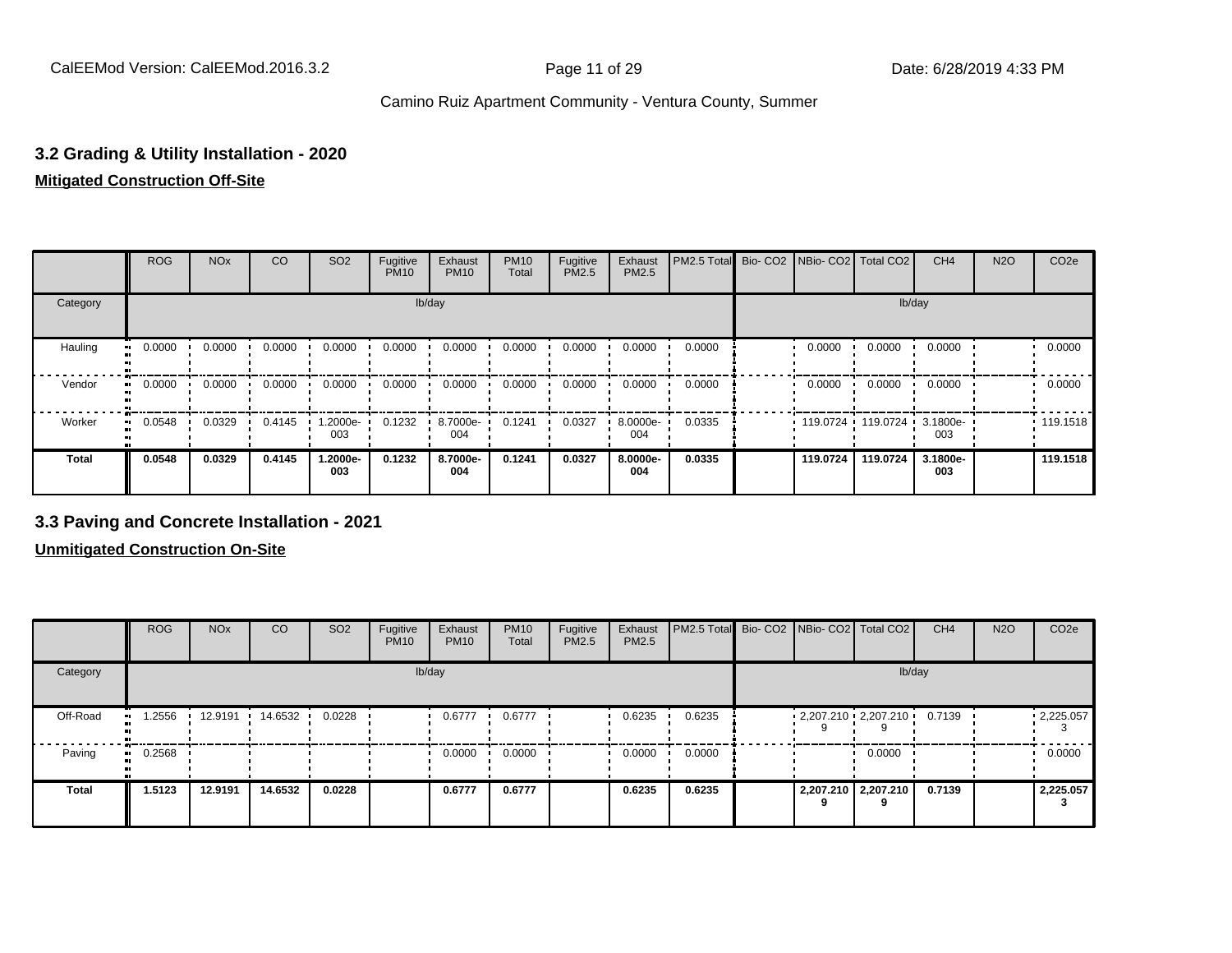### **3.2 Grading & Utility Installation - 2020**

#### **Mitigated Construction Off-Site**

|                            | <b>ROG</b> | <b>NO<sub>x</sub></b> | CO     | SO <sub>2</sub> | Fugitive<br><b>PM10</b> | Exhaust<br><b>PM10</b> | <b>PM10</b><br>Total | Fugitive<br>PM2.5 | Exhaust<br>PM2.5 | PM2.5 Total Bio- CO2 NBio- CO2 Total CO2 |          |                     | CH <sub>4</sub> | <b>N2O</b> | CO <sub>2e</sub> |
|----------------------------|------------|-----------------------|--------|-----------------|-------------------------|------------------------|----------------------|-------------------|------------------|------------------------------------------|----------|---------------------|-----------------|------------|------------------|
| Category                   |            |                       |        |                 |                         | lb/day                 |                      |                   |                  |                                          |          | lb/day              |                 |            |                  |
| Hauling<br>$\bullet$       | 0.0000     | 0.0000                | 0.0000 | 0.0000          | 0.0000                  | 0.0000                 | 0.0000               | 0.0000            | 0.0000           | 0.0000                                   | 0.0000   | 0.0000              | 0.0000          |            | 0.0000           |
| Vendor<br>$\bullet$        | 0.0000     | 0.0000                | 0.0000 | 0.0000          | 0.0000                  | 0.0000                 | 0.0000               | 0.0000            | 0.0000           | 0.0000                                   | 0.0000   | 0.0000              | 0.0000          |            | 0.0000           |
| Worker<br>$\bullet\bullet$ | 0.0548     | 0.0329                | 0.4145 | --2000e<br>003  | 0.1232                  | 8.7000e-<br>004        | 0.1241               | 0.0327            | 8.0000e-<br>004  | 0.0335                                   |          | 119.0724 119.0724 ' | 3.1800e-<br>003 |            | .119.1518        |
| <b>Total</b>               | 0.0548     | 0.0329                | 0.4145 | 1.2000e-<br>003 | 0.1232                  | 8.7000e-<br>004        | 0.1241               | 0.0327            | 8.0000e-<br>004  | 0.0335                                   | 119.0724 | 119.0724            | 3.1800e-<br>003 |            | 119.1518         |

#### **3.3 Paving and Concrete Installation - 2021**

|                          | <b>ROG</b>          | <b>NO<sub>x</sub></b> | CO        | SO <sub>2</sub> | Fugitive<br><b>PM10</b> | Exhaust<br><b>PM10</b> | <b>PM10</b><br>Total | Fugitive<br><b>PM2.5</b> | Exhaust<br>PM2.5 | PM2.5 Total Bio- CO2 NBio- CO2 Total CO2 |  |                          | CH <sub>4</sub> | <b>N2O</b> | CO <sub>2e</sub> |
|--------------------------|---------------------|-----------------------|-----------|-----------------|-------------------------|------------------------|----------------------|--------------------------|------------------|------------------------------------------|--|--------------------------|-----------------|------------|------------------|
| Category                 |                     |                       |           |                 |                         | lb/day                 |                      |                          |                  |                                          |  | lb/day                   |                 |            |                  |
| Off-Road<br>$\mathbf{u}$ | .2556               | 12.9191               | 14.6532 · | 0.0228          |                         | 0.6777                 | 0.6777               |                          | 0.6235           | 0.6235                                   |  | $2,207.210$ $2,207.210$  | 0.7139          |            | .2,225.057       |
| Paving                   | 0.2568<br>$\bullet$ |                       |           |                 |                         | 0.0000                 | 0.0000               |                          | 0.0000           | 0.0000                                   |  | 0.0000                   |                 |            | 0.0000           |
| <b>Total</b>             | 1.5123              | 12.9191               | 14.6532   | 0.0228          |                         | 0.6777                 | 0.6777               |                          | 0.6235           | 0.6235                                   |  | 2,207.210 2,207.210<br>q | 0.7139          |            | 2,225.057        |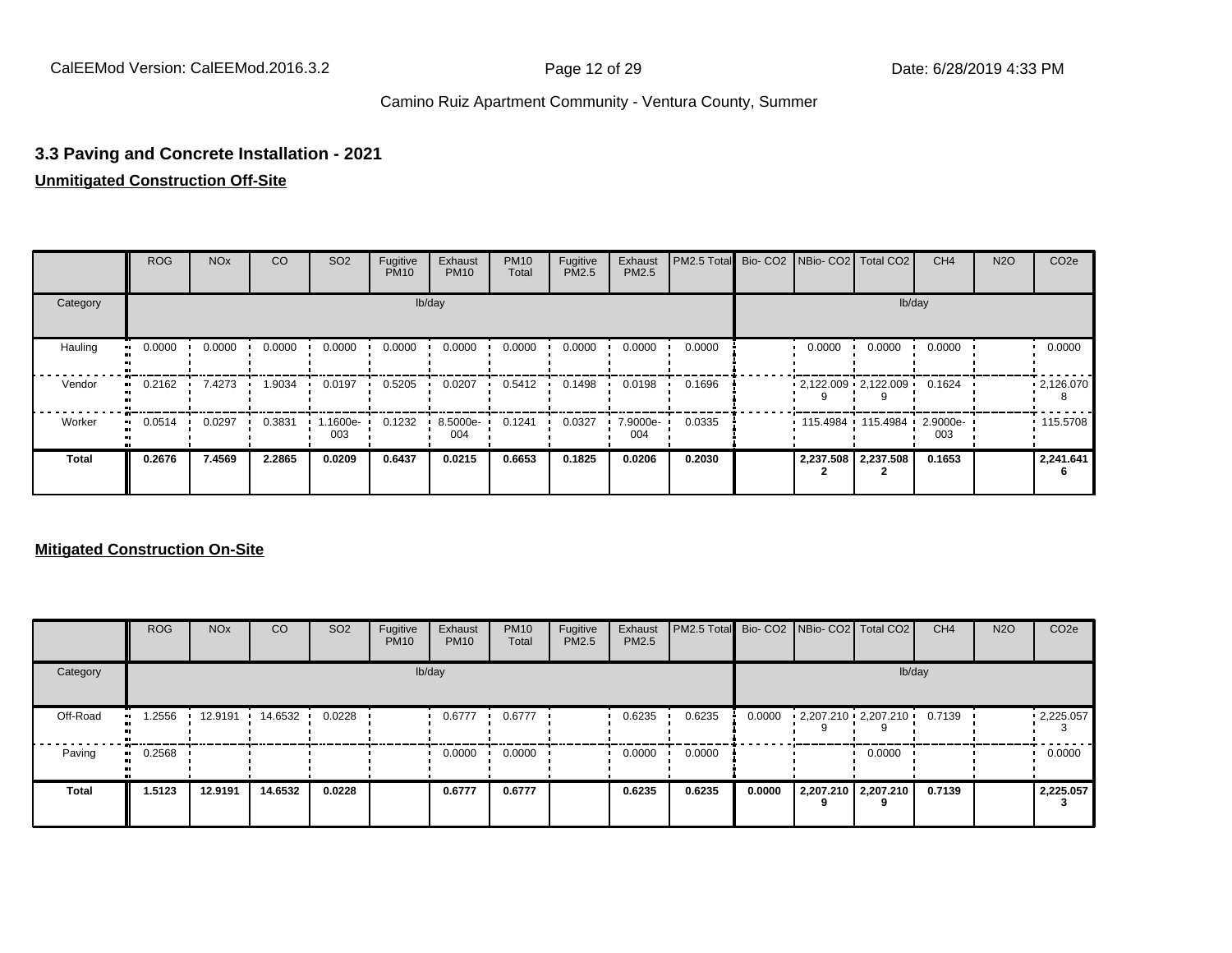# **3.3 Paving and Concrete Installation - 2021**

#### **Unmitigated Construction Off-Site**

|              | <b>ROG</b>   | <b>NO<sub>x</sub></b> | CO     | SO <sub>2</sub>  | Fugitive<br><b>PM10</b> | Exhaust<br><b>PM10</b> | <b>PM10</b><br>Total | Fugitive<br><b>PM2.5</b> | Exhaust<br>PM2.5 | PM2.5 Total |        | Bio- CO2   NBio- CO2   Total CO2 | CH <sub>4</sub> | <b>N2O</b> | CO <sub>2e</sub> |
|--------------|--------------|-----------------------|--------|------------------|-------------------------|------------------------|----------------------|--------------------------|------------------|-------------|--------|----------------------------------|-----------------|------------|------------------|
| Category     |              |                       |        |                  |                         | lb/day                 |                      |                          |                  |             |        |                                  | lb/day          |            |                  |
| Hauling      | 0.0000       | 0.0000                | 0.0000 | 0.0000           | 0.0000                  | 0.0000                 | 0.0000               | 0.0000                   | 0.0000           | 0.0000      | 0.0000 | 0.0000                           | 0.0000          |            | 0.0000           |
| Vendor       | 0.2162<br>   | 7.4273                | 1.9034 | 0.0197           | 0.5205                  | 0.0207                 | 0.5412               | 0.1498                   | 0.0198           | 0.1696      |        | $2,122.009$ $2,122.009$          | 0.1624          |            | .2,126.070       |
| Worker       | 0.0514<br>ш. | 0.0297                | 0.3831 | $.1600e-$<br>003 | 0.1232                  | 8.5000e-<br>004        | 0.1241               | 0.0327                   | 7.9000e-<br>004  | 0.0335      |        | 115.4984 115.4984 2.9000e-       | 003             |            | .115.5708        |
| <b>Total</b> | 0.2676       | 7.4569                | 2.2865 | 0.0209           | 0.6437                  | 0.0215                 | 0.6653               | 0.1825                   | 0.0206           | 0.2030      |        | 2,237.508 2,237.508              | 0.1653          |            | 2,241.641        |

|              | <b>ROG</b> | <b>NO<sub>x</sub></b> | CO      | SO <sub>2</sub> | Fugitive<br><b>PM10</b> | Exhaust<br><b>PM10</b> | <b>PM10</b><br>Total | Fugitive<br><b>PM2.5</b> | Exhaust<br>PM2.5 | PM2.5 Total Bio- CO2 NBio- CO2 Total CO2 |        |                             |                     | CH <sub>4</sub> | <b>N2O</b> | CO <sub>2e</sub>       |
|--------------|------------|-----------------------|---------|-----------------|-------------------------|------------------------|----------------------|--------------------------|------------------|------------------------------------------|--------|-----------------------------|---------------------|-----------------|------------|------------------------|
| Category     |            |                       |         |                 |                         | lb/day                 |                      |                          |                  |                                          |        |                             | lb/day              |                 |            |                        |
| Off-Road     | .2556      | 12.9191               | 14.6532 | 0.0228          |                         | 0.6777                 | 0.6777               |                          | 0.6235           | 0.6235                                   | 0.0000 | $2,207.210 \cdot 2,207.210$ |                     | 0.7139          |            | $\cdot$ 2,225.057<br>3 |
| Paving       | 0.2568     |                       |         |                 |                         | 0.0000                 | 0.0000               |                          | 0.0000           | 0.0000                                   |        |                             | 0.0000              |                 |            | 0.0000                 |
| <b>Total</b> | 1.5123     | 12.9191               | 14.6532 | 0.0228          |                         | 0.6777                 | 0.6777               |                          | 0.6235           | 0.6235                                   | 0.0000 |                             | 2,207.210 2,207.210 | 0.7139          |            | 2,225.057              |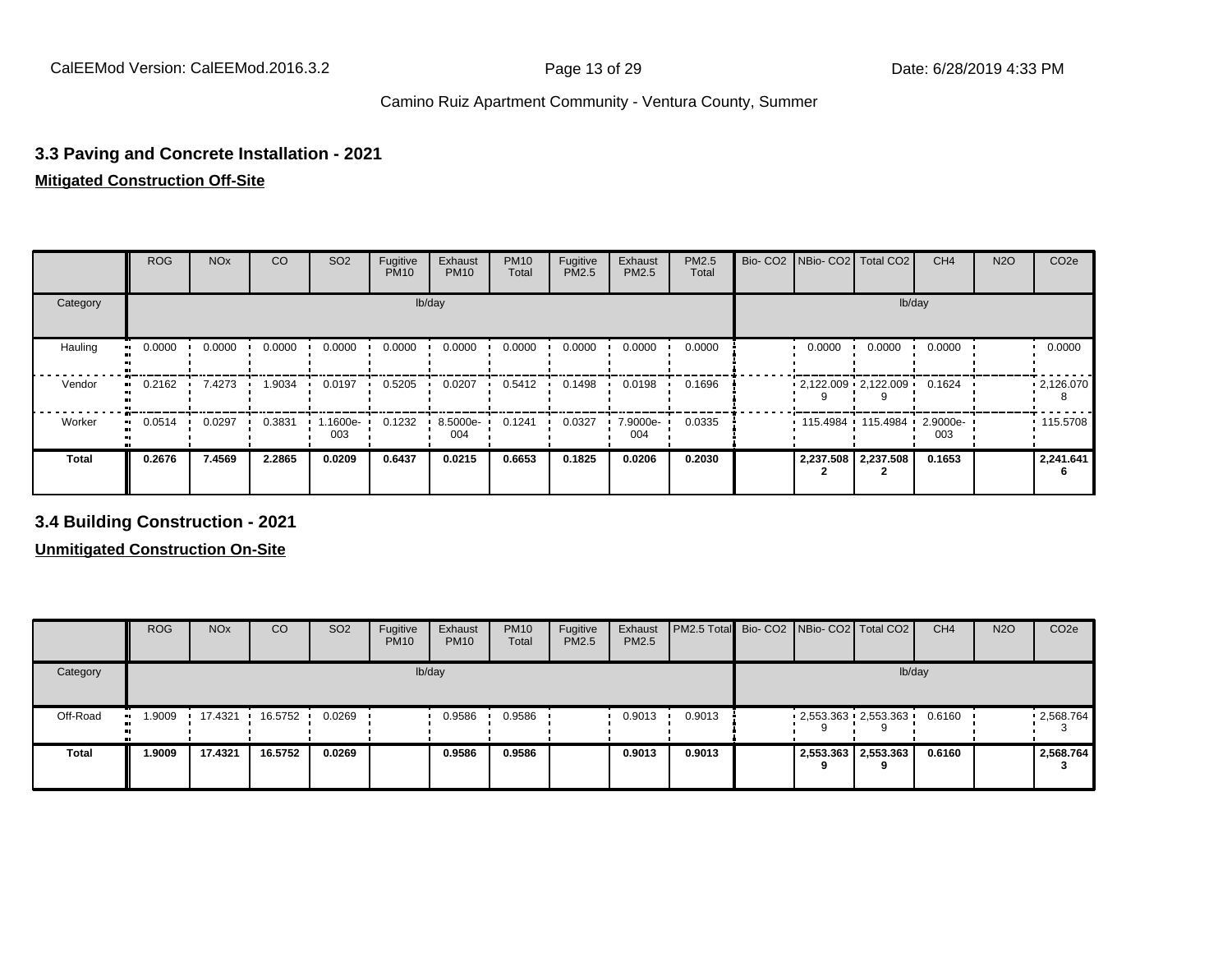# **3.3 Paving and Concrete Installation - 2021**

#### **Mitigated Construction Off-Site**

|              | <b>ROG</b> | <b>NO<sub>x</sub></b> | CO     | SO <sub>2</sub>  | Fugitive<br><b>PM10</b> | Exhaust<br><b>PM10</b> | <b>PM10</b><br>Total | Fugitive<br><b>PM2.5</b> | Exhaust<br>PM2.5 | <b>PM2.5</b><br>Total |        | Bio- CO2   NBio- CO2   Total CO2 | CH <sub>4</sub> | <b>N2O</b> | CO <sub>2e</sub> |
|--------------|------------|-----------------------|--------|------------------|-------------------------|------------------------|----------------------|--------------------------|------------------|-----------------------|--------|----------------------------------|-----------------|------------|------------------|
| Category     |            |                       |        |                  |                         | lb/day                 |                      |                          |                  |                       |        |                                  | lb/day          |            |                  |
| Hauling      | 0.0000     | 0.0000                | 0.0000 | 0.0000           | 0.0000                  | 0.0000                 | 0.0000               | 0.0000                   | 0.0000           | 0.0000                | 0.0000 | 0.0000                           | 0.0000          |            | 0.0000           |
| Vendor       | 0.2162     | 7.4273                | 1.9034 | 0.0197           | 0.5205                  | 0.0207                 | 0.5412               | 0.1498                   | 0.0198           | 0.1696                |        | $2,122.009$ $2,122.009$          | 0.1624          |            | .2,126.070       |
| Worker       | 0.0514     | 0.0297                | 0.3831 | $.1600e-$<br>003 | 0.1232                  | 8.5000e-<br>004        | 0.1241               | 0.0327                   | 7.9000e-<br>004  | 0.0335                |        | 115.4984 115.4984 2.9000e-       | 003             |            | .115.5708        |
| <b>Total</b> | 0.2676     | 7.4569                | 2.2865 | 0.0209           | 0.6437                  | 0.0215                 | 0.6653               | 0.1825                   | 0.0206           | 0.2030                |        | 2,237.508   2,237.508            | 0.1653          |            | 2,241.641        |

**3.4 Building Construction - 2021**

|              | <b>ROG</b>                 | <b>NO<sub>x</sub></b> | CO      | SO <sub>2</sub> | Fugitive<br><b>PM10</b> | Exhaust<br><b>PM10</b> | <b>PM10</b><br>Total | Fugitive<br><b>PM2.5</b> | Exhaust<br>PM2.5 | <b>PM2.5 Total</b> Bio- CO2 NBio- CO2 Total CO2 |  |                         | CH <sub>4</sub> | <b>N2O</b> | CO <sub>2e</sub> |
|--------------|----------------------------|-----------------------|---------|-----------------|-------------------------|------------------------|----------------------|--------------------------|------------------|-------------------------------------------------|--|-------------------------|-----------------|------------|------------------|
| Category     |                            |                       |         |                 |                         | lb/day                 |                      |                          |                  |                                                 |  | lb/day                  |                 |            |                  |
| Off-Road     | 1.9009<br>$\bullet\bullet$ | 17.4321 ·             | 16.5752 | 0.0269          |                         | 0.9586                 | 0.9586               |                          | 0.9013           | 0.9013                                          |  | $2,553.363$ $2,553.363$ | 0.6160          |            | 12,568.764       |
| <b>Total</b> | 1.9009                     | 17.4321               | 16.5752 | 0.0269          |                         | 0.9586                 | 0.9586               |                          | 0.9013           | 0.9013                                          |  | 2,553.363 2,553.363     | 0.6160          |            | 2,568.764        |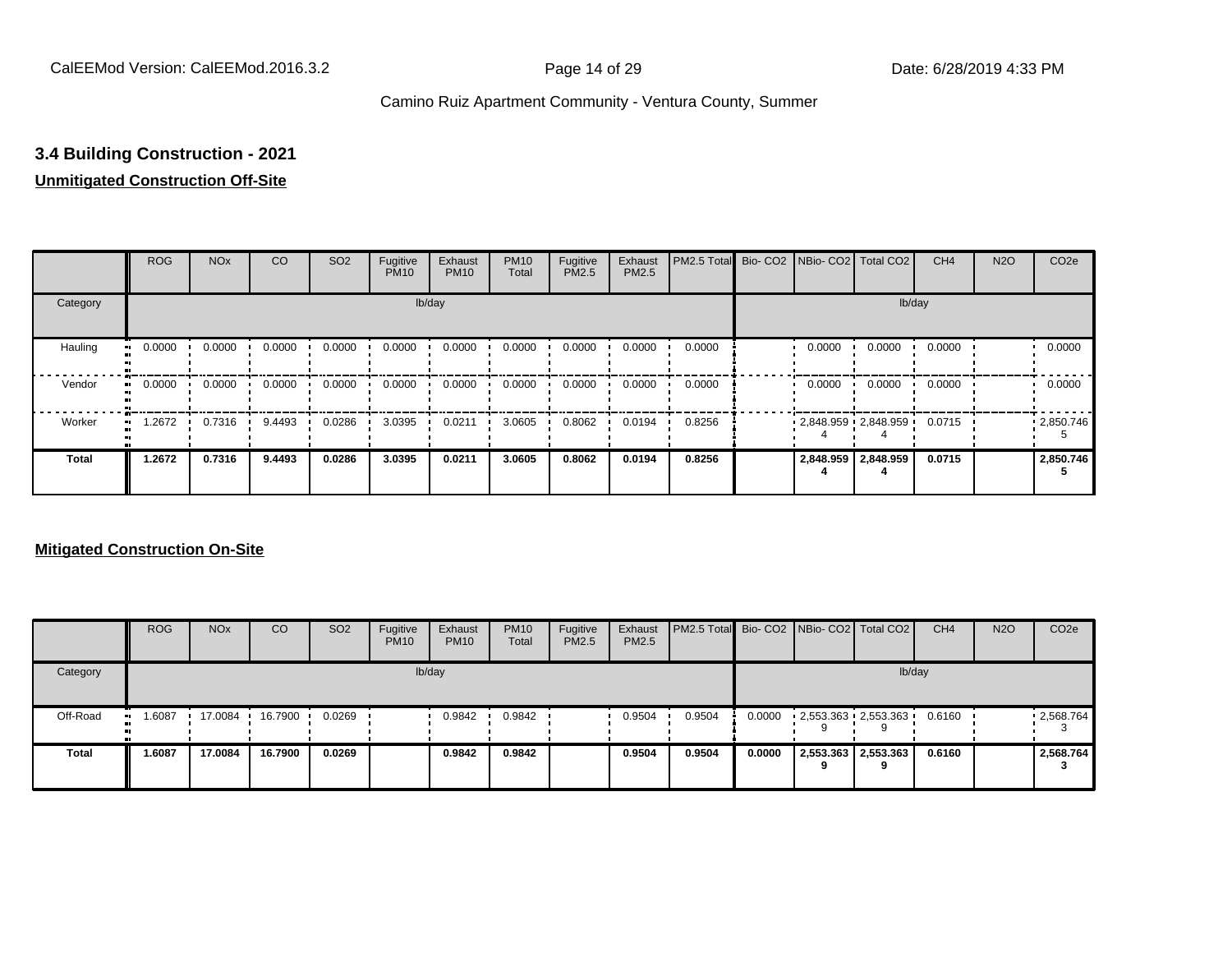#### **3.4 Building Construction - 2021**

#### **Unmitigated Construction Off-Site**

|               | <b>ROG</b>          | <b>NO<sub>x</sub></b> | CO     | SO <sub>2</sub> | Fugitive<br><b>PM10</b> | Exhaust<br><b>PM10</b> | <b>PM10</b><br>Total | Fugitive<br><b>PM2.5</b> | Exhaust<br>PM2.5 | PM2.5 Total Bio- CO2 NBio- CO2 Total CO2 |        |                         | CH <sub>4</sub> | <b>N2O</b> | CO <sub>2e</sub> |
|---------------|---------------------|-----------------------|--------|-----------------|-------------------------|------------------------|----------------------|--------------------------|------------------|------------------------------------------|--------|-------------------------|-----------------|------------|------------------|
| Category      |                     |                       |        |                 |                         | lb/day                 |                      |                          |                  |                                          |        |                         | lb/day          |            |                  |
| Hauling<br>œ  | 0.0000              | 0.0000                | 0.0000 | 0.0000          | 0.0000                  | 0.0000                 | 0.0000               | 0.0000                   | 0.0000           | 0.0000                                   | 0.0000 | 0.0000                  | 0.0000          |            | 0.0000           |
| Vendor        | 0.0000<br>$\bullet$ | 0.0000                | 0.0000 | 0.0000          | 0.0000                  | 0.0000                 | 0.0000               | 0.0000                   | 0.0000           | 0.0000                                   | 0.0000 | 0.0000                  | 0.0000          |            | 0.0000           |
| Worker<br>-91 | 1.2672              | 0.7316                | 9.4493 | 0.0286          | 3.0395                  | 0.0211                 | 3.0605               | 0.8062                   | 0.0194           | 0.8256                                   |        | $2,848.959$ $2,848.959$ | 0.0715          |            | .2,850.746       |
| <b>Total</b>  | 1.2672              | 0.7316                | 9.4493 | 0.0286          | 3.0395                  | 0.0211                 | 3.0605               | 0.8062                   | 0.0194           | 0.8256                                   |        | 2,848.959 2,848.959     | 0.0715          |            | 2,850.746        |

|              | <b>ROG</b>          | <b>NO<sub>x</sub></b> | CO      | SO <sub>2</sub> | Fugitive<br><b>PM10</b> | Exhaust<br><b>PM10</b> | <b>PM10</b><br>Total | Fugitive<br>PM2.5 | Exhaust<br><b>PM2.5</b> | <b>PM2.5 Total</b> Bio- CO2 NBio- CO2 Total CO2 |        |                         | CH <sub>4</sub> | <b>N2O</b> | CO <sub>2e</sub> |
|--------------|---------------------|-----------------------|---------|-----------------|-------------------------|------------------------|----------------------|-------------------|-------------------------|-------------------------------------------------|--------|-------------------------|-----------------|------------|------------------|
| Category     |                     |                       |         |                 |                         | lb/day                 |                      |                   |                         |                                                 |        | lb/day                  |                 |            |                  |
| Off-Road     | 1.6087<br>$\bullet$ | 17.0084 ·             | 16.7900 | 0.0269          |                         | 0.9842                 | 0.9842               |                   | 0.9504                  | 0.9504                                          | 0.0000 | $2,553.363$ $2,553.363$ | 0.6160          |            | .2,568.764       |
| <b>Total</b> | 1.6087              | 17.0084               | 16.7900 | 0.0269          |                         | 0.9842                 | 0.9842               |                   | 0.9504                  | 0.9504                                          | 0.0000 | 2,553.363 2,553.363     | 0.6160          |            | 2,568.764        |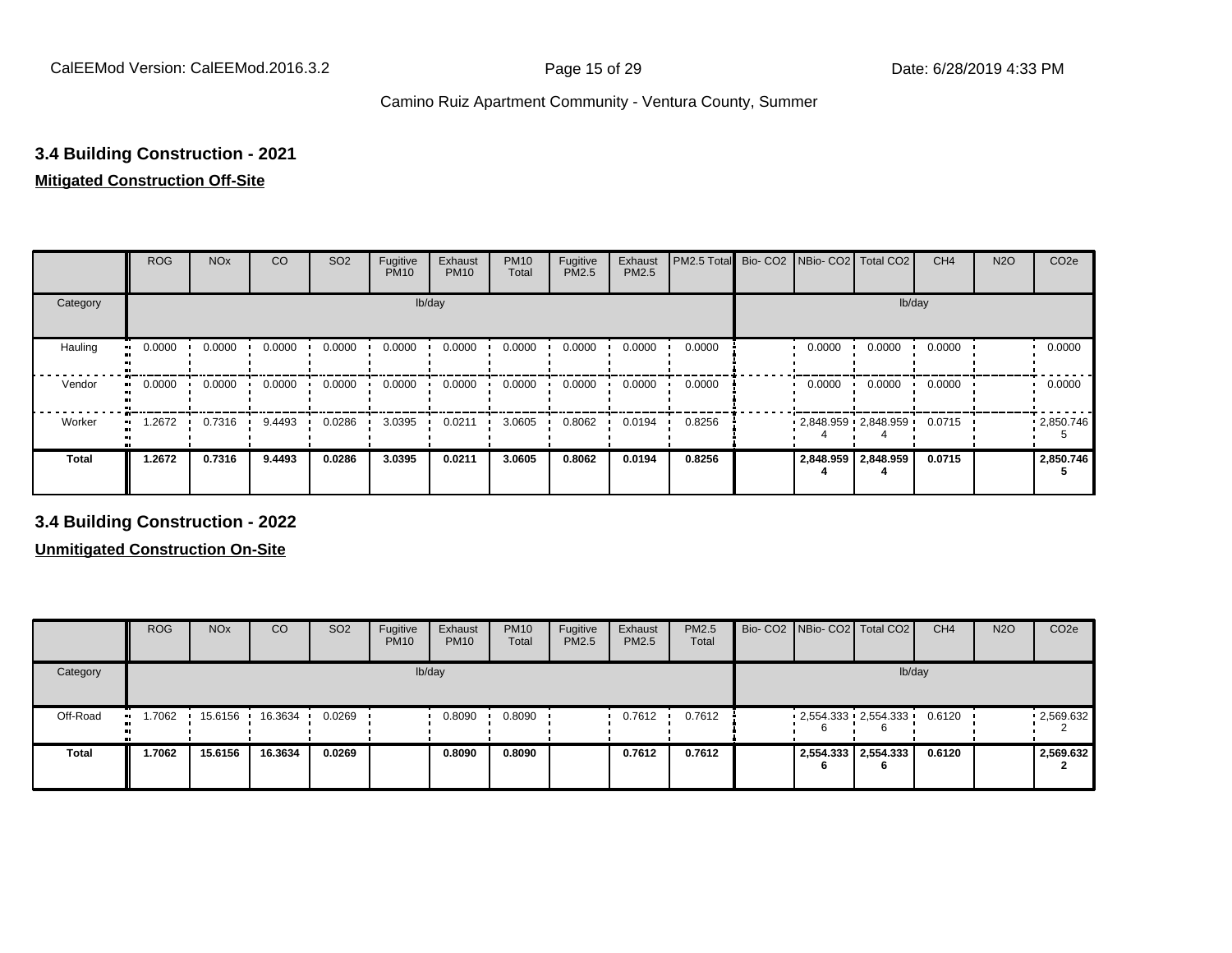#### **3.4 Building Construction - 2021**

#### **Mitigated Construction Off-Site**

|                      | <b>ROG</b> | <b>NO<sub>x</sub></b> | CO     | SO <sub>2</sub> | Fugitive<br><b>PM10</b> | Exhaust<br><b>PM10</b> | <b>PM10</b><br>Total | Fugitive<br>PM2.5 | Exhaust<br>PM2.5 | PM2.5 Total Bio- CO2 NBio- CO2 Total CO2 |                       |                     | CH <sub>4</sub> | <b>N2O</b> | CO <sub>2e</sub> |
|----------------------|------------|-----------------------|--------|-----------------|-------------------------|------------------------|----------------------|-------------------|------------------|------------------------------------------|-----------------------|---------------------|-----------------|------------|------------------|
| Category             |            |                       |        |                 | lb/day                  |                        |                      |                   |                  |                                          |                       | lb/day              |                 |            |                  |
| Hauling<br>$\bullet$ | 0.0000     | 0.0000                | 0.0000 | 0.0000          | 0.0000                  | 0.0000                 | 0.0000               | 0.0000            | 0.0000           | 0.0000                                   | 0.0000                | 0.0000              | 0.0000          |            | 0.0000           |
| Vendor<br>$\bullet$  | 0.0000     | 0.0000                | 0.0000 | 0.0000          | 0.0000                  | 0.0000                 | 0.0000               | 0.0000            | 0.0000           | 0.0000                                   | 0.0000                | 0.0000              | 0.0000          |            | 0.0000           |
| Worker<br>$\bullet$  | 1.2672     | 0.7316                | 9.4493 | 0.0286          | 3.0395                  | 0.0211                 | 3.0605               | 0.8062            | 0.0194           | 0.8256                                   | $2,848.959$ 2,848.959 |                     | 0.0715          |            | .2850.746        |
| <b>Total</b>         | 1.2672     | 0.7316                | 9.4493 | 0.0286          | 3.0395                  | 0.0211                 | 3.0605               | 0.8062            | 0.0194           | 0.8256                                   |                       | 2,848.959 2,848.959 | 0.0715          |            | 2,850.746        |

**3.4 Building Construction - 2022**

|                          | <b>ROG</b> | <b>NO<sub>x</sub></b> | CO      | SO <sub>2</sub> | Fugitive<br><b>PM10</b> | Exhaust<br><b>PM10</b> | <b>PM10</b><br>Total | Fugitive<br><b>PM2.5</b> | Exhaust<br><b>PM2.5</b> | <b>PM2.5</b><br>Total |    | Bio- CO2 NBio- CO2 Total CO2 | CH <sub>4</sub> | <b>N2O</b> | CO <sub>2e</sub> |
|--------------------------|------------|-----------------------|---------|-----------------|-------------------------|------------------------|----------------------|--------------------------|-------------------------|-----------------------|----|------------------------------|-----------------|------------|------------------|
| Category                 |            |                       |         |                 |                         | lb/day                 |                      |                          |                         |                       |    |                              | lb/day          |            |                  |
| Off-Road<br>$\mathbf{u}$ | 1.7062     | 15.6156               | 16.3634 | 0.0269          |                         | 0.8090                 | 0.8090               |                          | 0.7612                  | 0.7612                | 6  | $2,554.333$ $2,554.333$      | 0.6120          |            | .2,569.632       |
| <b>Total</b>             | 1.7062     | 15.6156               | 16.3634 | 0.0269          |                         | 0.8090                 | 0.8090               |                          | 0.7612                  | 0.7612                | 'n | 2,554.333 2,554.333          | 0.6120          |            | 2,569.632        |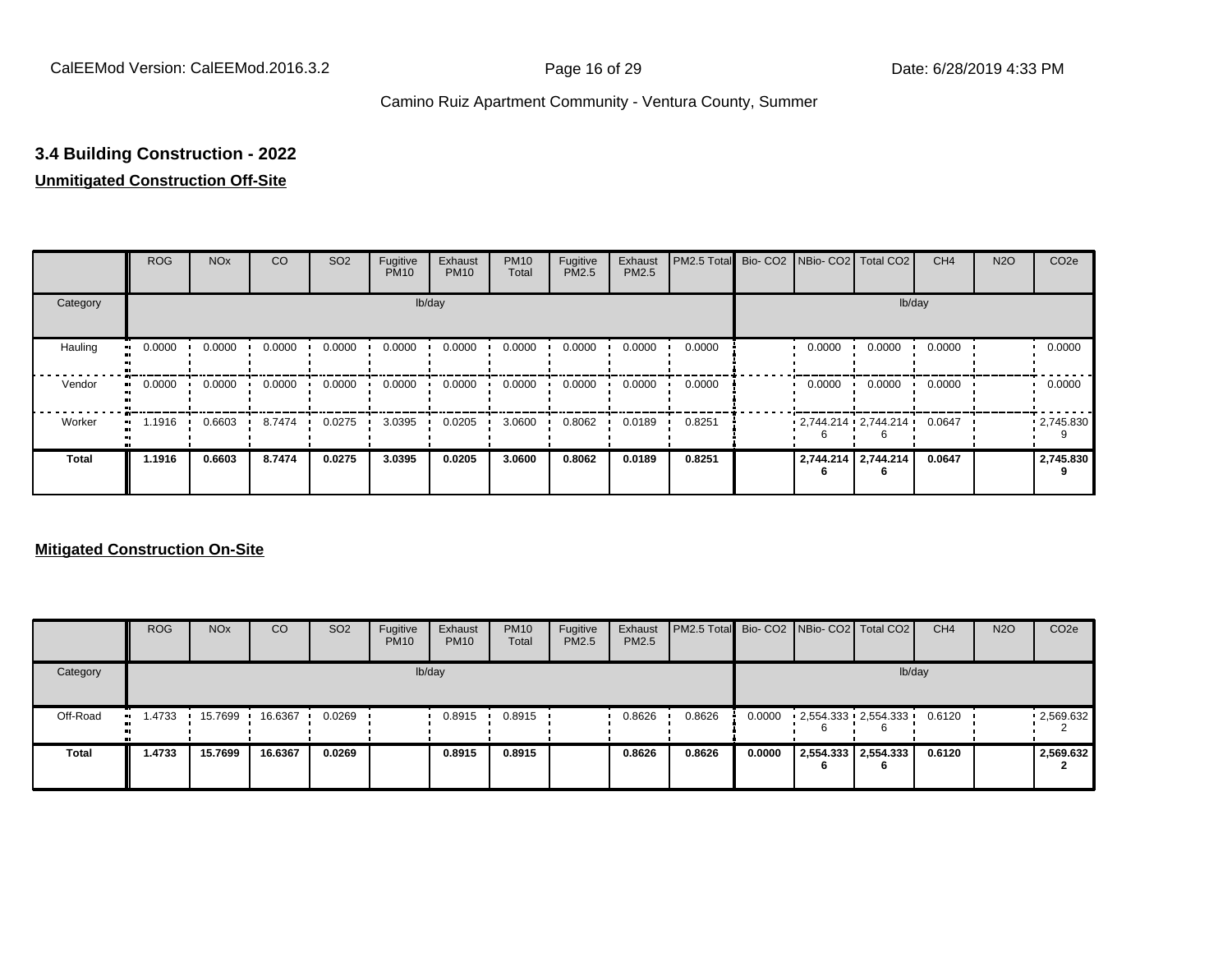### **3.4 Building Construction - 2022**

#### **Unmitigated Construction Off-Site**

|                      | <b>ROG</b>          | <b>NO<sub>x</sub></b> | CO     | SO <sub>2</sub> | Fugitive<br><b>PM10</b> | Exhaust<br><b>PM10</b> | <b>PM10</b><br>Total | Fugitive<br>PM2.5 | Exhaust<br>PM2.5 | PM2.5 Total |        | Bio- CO2   NBio- CO2   Total CO2 | CH <sub>4</sub> | <b>N2O</b> | CO <sub>2e</sub> |
|----------------------|---------------------|-----------------------|--------|-----------------|-------------------------|------------------------|----------------------|-------------------|------------------|-------------|--------|----------------------------------|-----------------|------------|------------------|
| Category             |                     |                       |        |                 | lb/day                  |                        |                      |                   |                  |             |        | lb/day                           |                 |            |                  |
| Hauling<br>$\bullet$ | 0.0000              | 0.0000                | 0.0000 | 0.0000          | 0.0000                  | 0.0000                 | 0.0000               | 0.0000            | 0.0000           | 0.0000      | 0.0000 | 0.0000                           | 0.0000          |            | 0.0000           |
| Vendor<br>$\bullet$  | 0.0000              | 0.0000                | 0.0000 | 0.0000          | 0.0000                  | 0.0000                 | 0.0000               | 0.0000            | 0.0000           | 0.0000      | 0.0000 | 0.0000                           | 0.0000          |            | 0.0000           |
| Worker               | 1.1916<br>$\bullet$ | 0.6603                | 8.7474 | 0.0275          | 3.0395                  | 0.0205                 | 3.0600               | 0.8062            | 0.0189           | 0.8251      |        | 2,744.214 2,744.214              | 0.0647          |            | .2745.830        |
| <b>Total</b>         | 1.1916              | 0.6603                | 8.7474 | 0.0275          | 3.0395                  | 0.0205                 | 3.0600               | 0.8062            | 0.0189           | 0.8251      |        | 2,744.214 2,744.214              | 0.0647          |            | 2,745.830        |

|              | <b>ROG</b>          | <b>NO<sub>x</sub></b> | CO      | SO <sub>2</sub> | Fugitive<br><b>PM10</b> | Exhaust<br><b>PM10</b> | <b>PM10</b><br>Total | Fugitive<br>PM2.5 | Exhaust<br><b>PM2.5</b> | <b>PM2.5 Total</b> Bio- CO2 NBio- CO2 Total CO2 |        |                                 |                          | CH <sub>4</sub> | <b>N2O</b> | CO <sub>2</sub> e |
|--------------|---------------------|-----------------------|---------|-----------------|-------------------------|------------------------|----------------------|-------------------|-------------------------|-------------------------------------------------|--------|---------------------------------|--------------------------|-----------------|------------|-------------------|
| Category     |                     |                       |         |                 |                         | lb/day                 |                      |                   |                         |                                                 |        |                                 |                          | lb/day          |            |                   |
| Off-Road     | 1.4733<br>$\bullet$ | 15.7699               | 16.6367 | 0.0269          |                         | 0.8915                 | 0.8915               |                   | 0.8626                  | 0.8626                                          | 0.0000 | $2,554.333$ $2,554.333$ $\cdot$ | 6                        | 0.6120          |            | $-2,569.632$      |
| <b>Total</b> | 1.4733              | 15.7699               | 16.6367 | 0.0269          |                         | 0.8915                 | 0.8915               |                   | 0.8626                  | 0.8626                                          | 0.0000 |                                 | 2,554.333 2,554.333<br>6 | 0.6120          |            | 2,569.632         |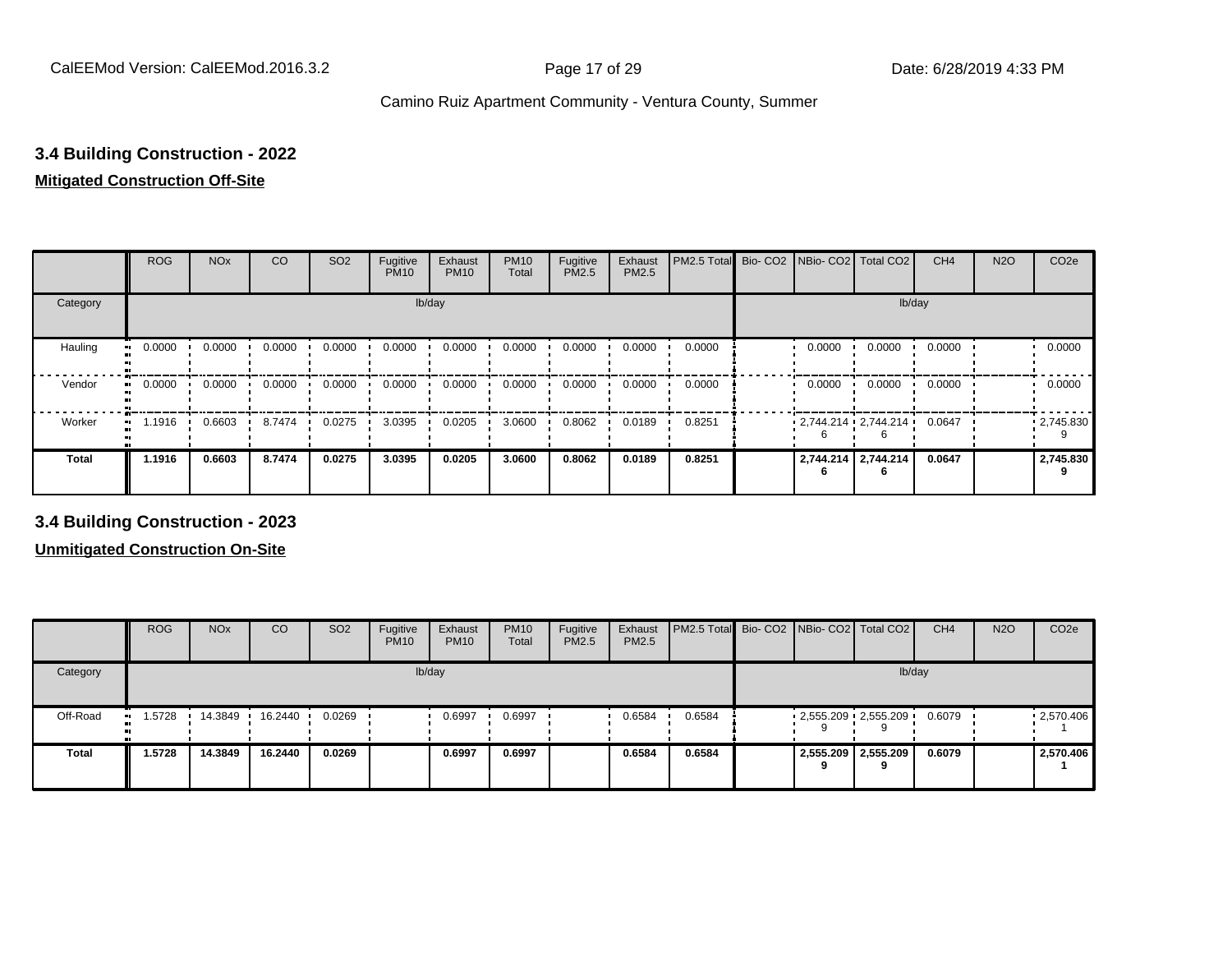#### **3.4 Building Construction - 2022**

#### **Mitigated Construction Off-Site**

|                            | <b>ROG</b> | <b>NO<sub>x</sub></b> | CO     | SO <sub>2</sub> | Fugitive<br><b>PM10</b> | Exhaust<br><b>PM10</b> | <b>PM10</b><br>Total | Fugitive<br>PM2.5 | Exhaust<br>PM2.5 | PM2.5 Total Bio- CO2 NBio- CO2 Total CO2 |                         |                     | CH <sub>4</sub> | <b>N2O</b> | CO <sub>2e</sub> |
|----------------------------|------------|-----------------------|--------|-----------------|-------------------------|------------------------|----------------------|-------------------|------------------|------------------------------------------|-------------------------|---------------------|-----------------|------------|------------------|
| Category                   |            |                       |        |                 | lb/day                  |                        |                      |                   |                  |                                          |                         | lb/day              |                 |            |                  |
| Hauling<br>$\bullet$       | 0.0000     | 0.0000                | 0.0000 | 0.0000          | 0.0000                  | 0.0000                 | 0.0000               | 0.0000            | 0.0000           | 0.0000                                   | 0.0000                  | 0.0000              | 0.0000          |            | 0.0000           |
| Vendor<br>$\bullet$        | 0.0000     | 0.0000                | 0.0000 | 0.0000          | 0.0000                  | 0.0000                 | 0.0000               | 0.0000            | 0.0000           | 0.0000                                   | 0.0000                  | 0.0000              | 0.0000          |            | 0.0000           |
| Worker<br>$\bullet\bullet$ | 1.1916     | 0.6603                | 8.7474 | 0.0275          | 3.0395                  | 0.0205                 | 3.0600               | 0.8062            | 0.0189           | 0.8251                                   | $2,744.214$ $2,744.214$ |                     | 0.0647          |            | .2745.830        |
| <b>Total</b>               | 1.1916     | 0.6603                | 8.7474 | 0.0275          | 3.0395                  | 0.0205                 | 3.0600               | 0.8062            | 0.0189           | 0.8251                                   |                         | 2,744.214 2,744.214 | 0.0647          |            | 2,745.830        |

**3.4 Building Construction - 2023**

|              | <b>ROG</b>   | <b>NO<sub>x</sub></b> | CO      | SO <sub>2</sub> | Fugitive<br><b>PM10</b> | Exhaust<br><b>PM10</b> | <b>PM10</b><br>Total | Fugitive<br><b>PM2.5</b> | Exhaust<br>PM2.5 | <b>PM2.5 Total</b> Bio- CO2 NBio- CO2   Total CO2 |                         |                     | CH <sub>4</sub> | <b>N2O</b> | CO <sub>2e</sub> |
|--------------|--------------|-----------------------|---------|-----------------|-------------------------|------------------------|----------------------|--------------------------|------------------|---------------------------------------------------|-------------------------|---------------------|-----------------|------------|------------------|
| Category     |              |                       |         |                 |                         | lb/day                 |                      |                          |                  |                                                   |                         |                     | lb/day          |            |                  |
| Off-Road     | 1.5728<br>ш. | 14.3849               | 16.2440 | 0.0269          |                         | 0.6997                 | 0.6997               |                          | 0.6584           | 0.6584                                            | $2,555.209$ $2,555.209$ |                     | 0.6079          |            | .2,570.406       |
| <b>Total</b> | 1.5728       | 14.3849               | 16.2440 | 0.0269          |                         | 0.6997                 | 0.6997               |                          | 0.6584           | 0.6584                                            |                         | 2,555.209 2,555.209 | 0.6079          |            | 2,570.406        |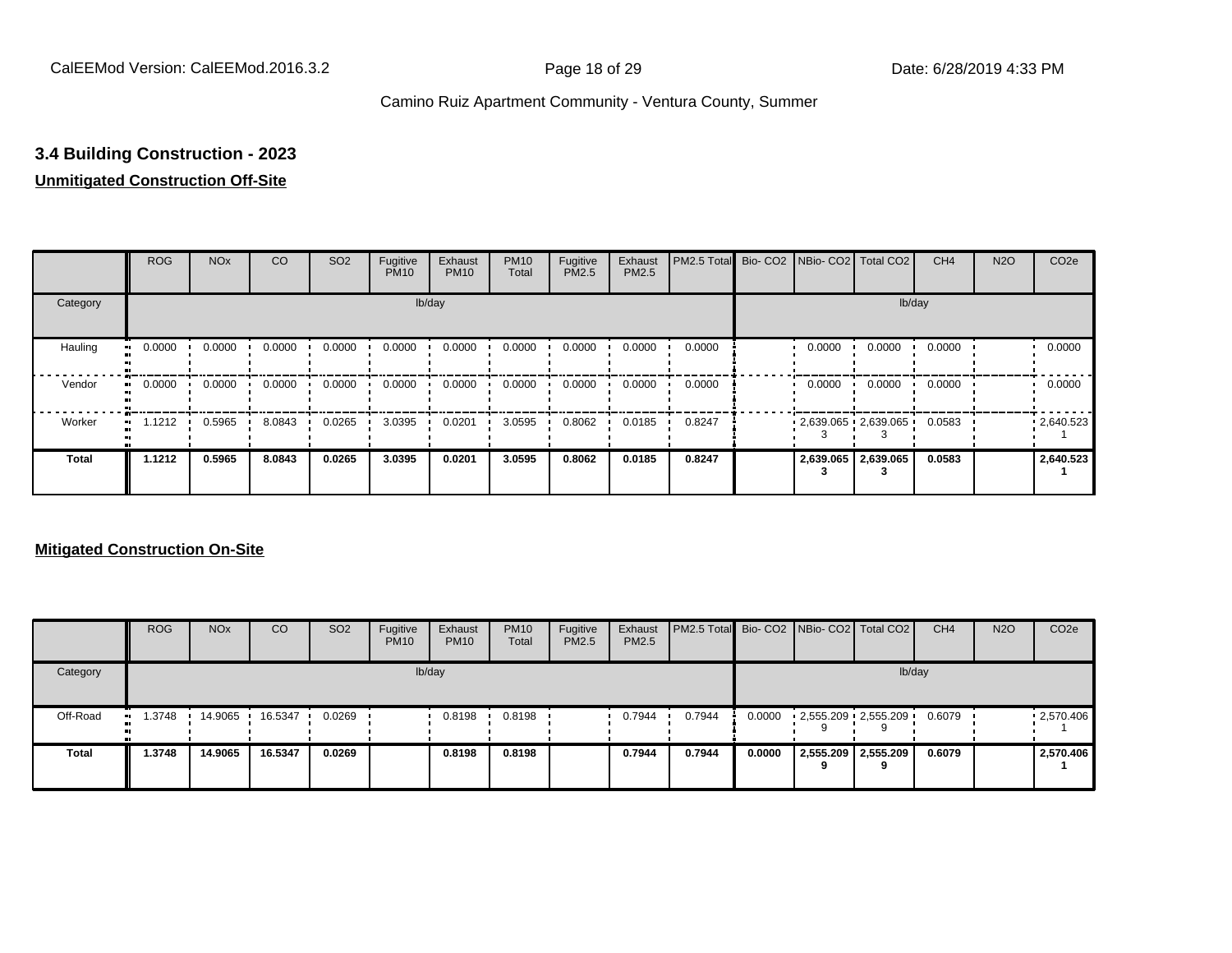### **3.4 Building Construction - 2023**

#### **Unmitigated Construction Off-Site**

|                            | <b>ROG</b> | <b>NO<sub>x</sub></b> | CO     | SO <sub>2</sub> | Fugitive<br><b>PM10</b> | Exhaust<br><b>PM10</b> | <b>PM10</b><br>Total | Fugitive<br>PM2.5 | Exhaust<br>PM2.5 | PM2.5 Total Bio- CO2 NBio- CO2 Total CO2 |        |                         | CH <sub>4</sub> | <b>N2O</b> | CO <sub>2e</sub> |
|----------------------------|------------|-----------------------|--------|-----------------|-------------------------|------------------------|----------------------|-------------------|------------------|------------------------------------------|--------|-------------------------|-----------------|------------|------------------|
| Category                   |            |                       |        |                 |                         | lb/day                 |                      |                   |                  |                                          |        | lb/day                  |                 |            |                  |
| Hauling<br>$\bullet$       | 0.0000     | 0.0000                | 0.0000 | 0.0000          | 0.0000                  | 0.0000                 | 0.0000               | 0.0000            | 0.0000           | 0.0000                                   | 0.0000 | 0.0000                  | 0.0000          |            | 0.0000           |
| Vendor<br>$\bullet$        | 0.0000     | 0.0000                | 0.0000 | 0.0000          | 0.0000                  | 0.0000                 | 0.0000               | 0.0000            | 0.0000           | 0.0000                                   | 0.0000 | 0.0000                  | 0.0000          |            | 0.0000           |
| Worker<br>$\bullet\bullet$ | 1.1212     | 0.5965                | 8.0843 | 0.0265          | 3.0395                  | 0.0201                 | 3.0595               | 0.8062            | 0.0185           | 0.8247                                   |        | $2,639.065$ $2,639.065$ | 0.0583          |            | .2640.523        |
| <b>Total</b>               | 1.1212     | 0.5965                | 8.0843 | 0.0265          | 3.0395                  | 0.0201                 | 3.0595               | 0.8062            | 0.0185           | 0.8247                                   |        | 2,639.065   2,639.065   | 0.0583          |            | 2,640.523        |

|              | <b>ROG</b>          | <b>NO<sub>x</sub></b> | CO      | SO <sub>2</sub> | Fugitive<br><b>PM10</b> | Exhaust<br><b>PM10</b> | <b>PM10</b><br>Total | Fugitive<br>PM2.5 | Exhaust<br><b>PM2.5</b> | PM2.5 Total Bio- CO2   NBio- CO2   Total CO2 |        |                              | CH <sub>4</sub> | <b>N2O</b> | CO <sub>2e</sub> |
|--------------|---------------------|-----------------------|---------|-----------------|-------------------------|------------------------|----------------------|-------------------|-------------------------|----------------------------------------------|--------|------------------------------|-----------------|------------|------------------|
| Category     |                     |                       |         |                 |                         | lb/day                 |                      |                   |                         |                                              |        |                              | lb/day          |            |                  |
| Off-Road     | 1.3748<br>$\bullet$ | 14.9065               | 16.5347 | 0.0269          |                         | 0.8198                 | 0.8198               |                   | 0.7944                  | 0.7944                                       | 0.0000 | $2,555.209$ $2,555.209$<br>9 | 0.6079          |            | .2,570.406       |
| <b>Total</b> | 1.3748              | 14.9065               | 16.5347 | 0.0269          |                         | 0.8198                 | 0.8198               |                   | 0.7944                  | 0.7944                                       | 0.0000 | 2,555.209 2,555.209<br>a     | 0.6079          |            | 2,570.406        |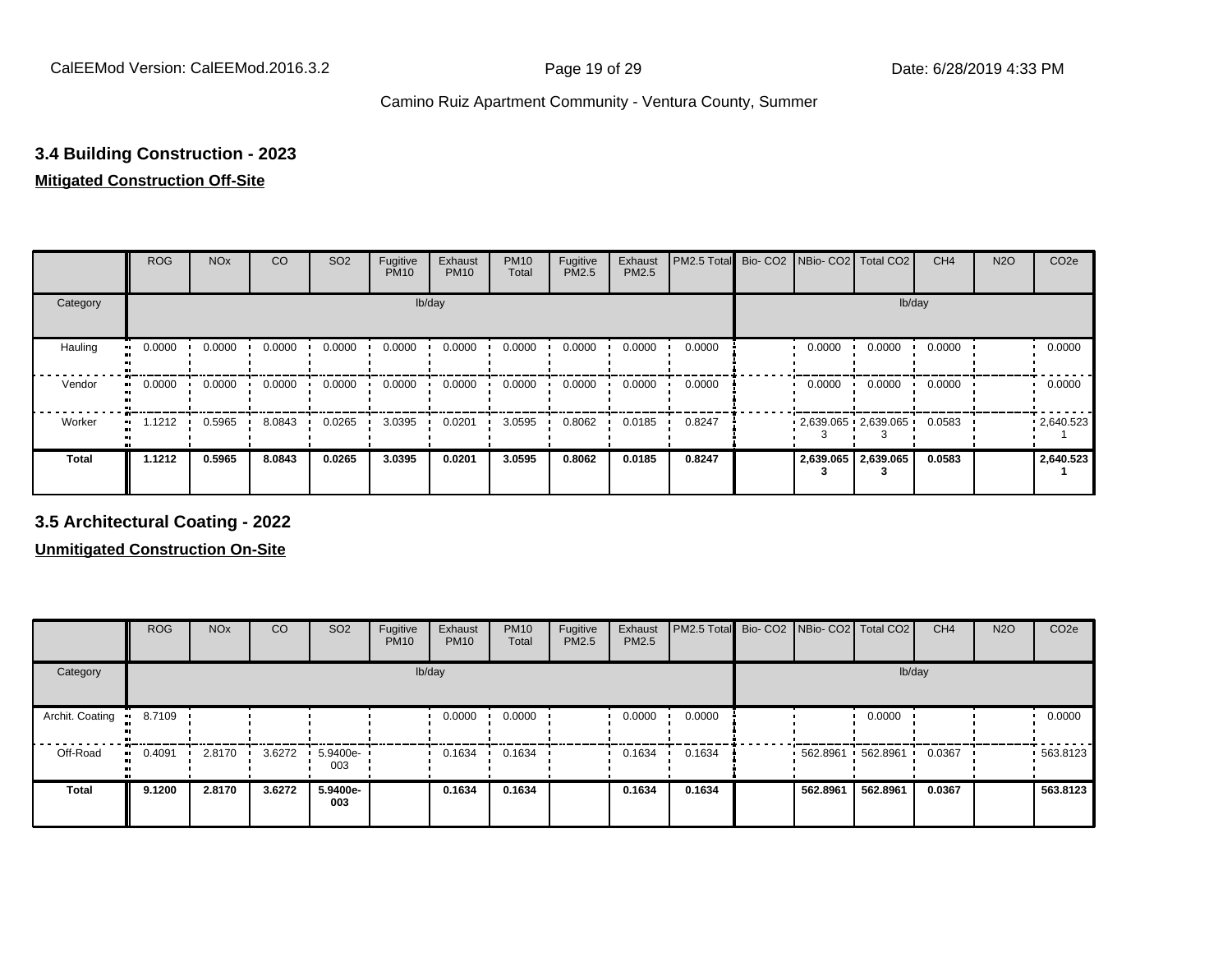#### **3.4 Building Construction - 2023**

#### **Mitigated Construction Off-Site**

|                     | <b>ROG</b> | <b>NO<sub>x</sub></b> | CO     | SO <sub>2</sub> | Fugitive<br><b>PM10</b> | Exhaust<br><b>PM10</b> | <b>PM10</b><br>Total | Fugitive<br>PM2.5 | Exhaust<br>PM2.5 | PM2.5 Total | Bio- CO2 NBio- CO2 Total CO2 |                       | CH <sub>4</sub> | <b>N2O</b> | CO <sub>2e</sub> |
|---------------------|------------|-----------------------|--------|-----------------|-------------------------|------------------------|----------------------|-------------------|------------------|-------------|------------------------------|-----------------------|-----------------|------------|------------------|
| Category            |            |                       |        |                 | lb/day                  |                        |                      |                   |                  |             |                              | lb/day                |                 |            |                  |
| Hauling             | 0.0000     | 0.0000                | 0.0000 | 0.0000          | 0.0000                  | 0.0000                 | 0.0000               | 0.0000            | 0.0000           | 0.0000      | 0.0000                       | 0.0000                | 0.0000          |            | 0.0000           |
| Vendor              | 0.0000     | 0.0000                | 0.0000 | 0.0000          | 0.0000                  | 0.0000                 | 0.0000               | 0.0000            | 0.0000           | 0.0000      | 0.0000                       | 0.0000                | 0.0000          |            | 0.0000           |
| Worker<br>$\bullet$ | 1.1212     | 0.5965                | 8.0843 | 0.0265          | 3.0395                  | 0.0201                 | 3.0595               | 0.8062            | 0.0185           | 0.8247      | $2,639.065$ $2,639.065$      |                       | 0.0583          |            | .2640.523        |
| <b>Total</b>        | 1.1212     | 0.5965                | 8.0843 | 0.0265          | 3.0395                  | 0.0201                 | 3.0595               | 0.8062            | 0.0185           | 0.8247      |                              | 2,639.065   2,639.065 | 0.0583          |            | 2,640.523        |

**3.5 Architectural Coating - 2022**

|                        | <b>ROG</b>   | <b>NO<sub>x</sub></b> | CO     | SO <sub>2</sub> | Fugitive<br><b>PM10</b> | Exhaust<br><b>PM10</b> | <b>PM10</b><br>Total | Fugitive<br><b>PM2.5</b> | Exhaust<br>PM2.5 | PM2.5 Total Bio- CO2 NBio- CO2 Total CO2 |                    |          | CH <sub>4</sub> | <b>N2O</b> | CO <sub>2e</sub> |
|------------------------|--------------|-----------------------|--------|-----------------|-------------------------|------------------------|----------------------|--------------------------|------------------|------------------------------------------|--------------------|----------|-----------------|------------|------------------|
| Category               |              |                       |        |                 |                         | lb/day                 |                      |                          |                  |                                          |                    | lb/day   |                 |            |                  |
| Archit. Coating<br>-91 | 8.7109       |                       |        |                 |                         | 0.0000                 | 0.0000               |                          | 0.0000           | 0.0000                                   |                    | 0.0000   |                 |            | 0.0000           |
| Off-Road               | 0.4091<br>ш. | 2.8170                | 3.6272 | 5.9400e-<br>003 |                         | 0.1634                 | 0.1634               |                          | 0.1634           | 0.1634                                   | 562.8961  562.8961 |          | 0.0367          |            | $-563.8123$      |
| <b>Total</b>           | 9.1200       | 2.8170                | 3.6272 | 5.9400e-<br>003 |                         | 0.1634                 | 0.1634               |                          | 0.1634           | 0.1634                                   | 562.8961           | 562.8961 | 0.0367          |            | 563.8123         |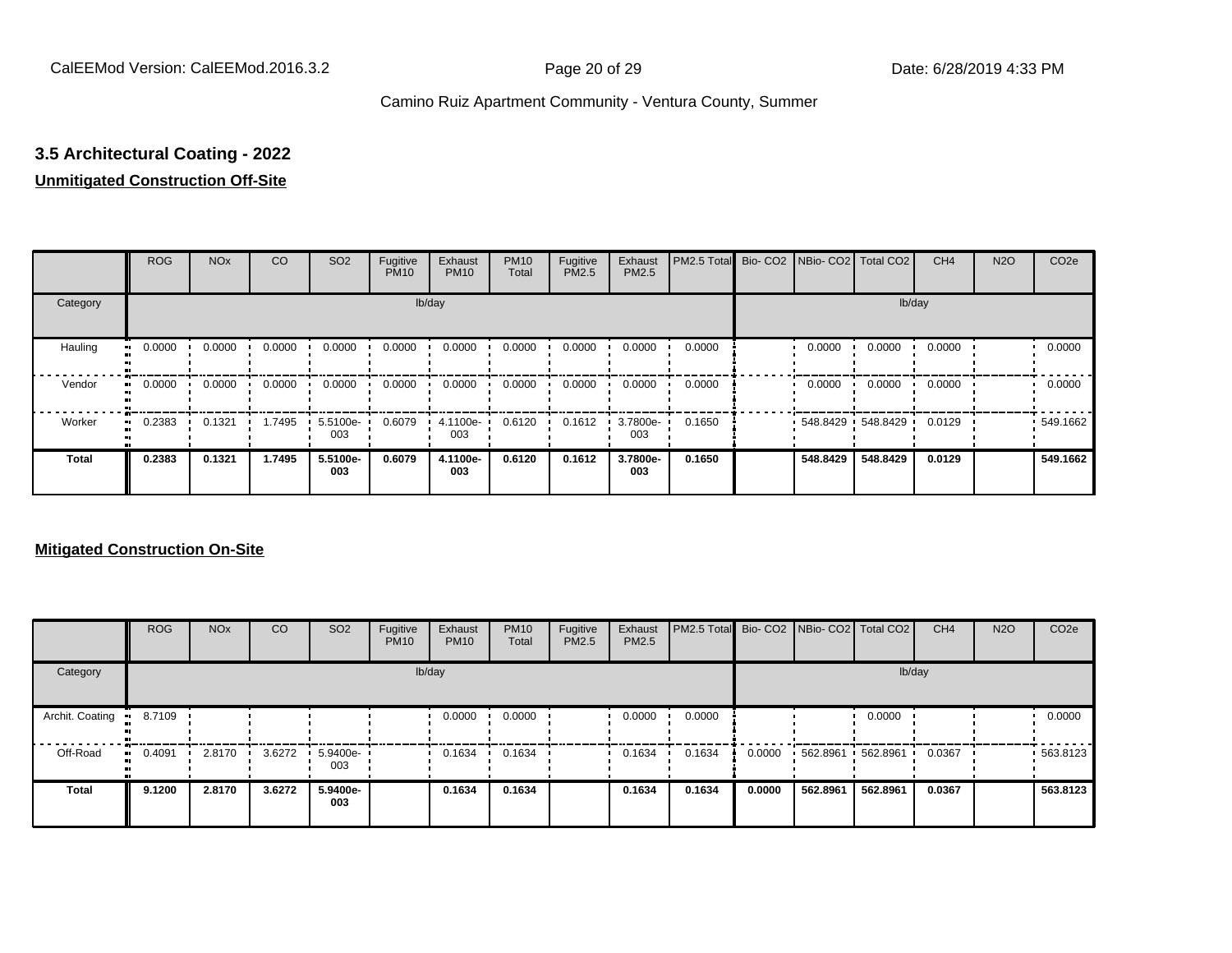# **3.5 Architectural Coating - 2022**

#### **Unmitigated Construction Off-Site**

|                     | <b>ROG</b> | <b>NO<sub>x</sub></b> | CO     | SO <sub>2</sub> | Fugitive<br><b>PM10</b> | Exhaust<br><b>PM10</b> | <b>PM10</b><br>Total | Fugitive<br><b>PM2.5</b> | Exhaust<br>PM2.5 | PM2.5 Total Bio- CO2 NBio- CO2 Total CO2 |          |                   | CH <sub>4</sub> | <b>N2O</b> | CO <sub>2e</sub> |
|---------------------|------------|-----------------------|--------|-----------------|-------------------------|------------------------|----------------------|--------------------------|------------------|------------------------------------------|----------|-------------------|-----------------|------------|------------------|
| Category            |            |                       |        |                 |                         | lb/day                 |                      |                          |                  |                                          |          |                   | lb/day          |            |                  |
| Hauling<br>œ        | 0.0000     | 0.0000                | 0.0000 | 0.0000          | 0.0000                  | 0.0000                 | 0.0000               | 0.0000                   | 0.0000           | 0.0000                                   | 0.0000   | 0.0000            | 0.0000          |            | 0.0000           |
| Vendor              | 0.0000     | 0.0000                | 0.0000 | 0.0000          | 0.0000                  | 0.0000                 | 0.0000               | 0.0000                   | 0.0000           | 0.0000                                   | 0.0000   | 0.0000            | 0.0000          |            | 0.0000           |
| Worker<br>$\bullet$ | 0.2383     | 0.1321                | 1.7495 | 5.5100e-<br>003 | 0.6079                  | 4.1100e-<br>003        | 0.6120               | 0.1612                   | 3.7800e-<br>003  | 0.1650                                   |          | 548.8429 548.8429 | 0.0129          |            | 549.1662         |
| <b>Total</b>        | 0.2383     | 0.1321                | 1.7495 | 5.5100e-<br>003 | 0.6079                  | 4.1100e-<br>003        | 0.6120               | 0.1612                   | 3.7800e-<br>003  | 0.1650                                   | 548.8429 | 548.8429          | 0.0129          |            | 549.1662         |

|                 | <b>ROG</b>   | <b>NO<sub>x</sub></b> | CO     | SO <sub>2</sub> | Fugitive<br><b>PM10</b> | Exhaust<br><b>PM10</b> | <b>PM10</b><br>Total | Fugitive<br><b>PM2.5</b> | Exhaust<br><b>PM2.5</b> | PM2.5 Total Bio- CO2 NBio- CO2   Total CO2 |        |          |          | CH <sub>4</sub> | <b>N2O</b> | CO <sub>2e</sub> |
|-----------------|--------------|-----------------------|--------|-----------------|-------------------------|------------------------|----------------------|--------------------------|-------------------------|--------------------------------------------|--------|----------|----------|-----------------|------------|------------------|
| Category        |              |                       |        |                 |                         | lb/day                 |                      |                          |                         |                                            |        |          |          | lb/day          |            |                  |
| Archit. Coating | 8.7109       |                       |        |                 |                         | 0.0000                 | 0.0000               |                          | 0.0000                  | 0.0000                                     |        |          | 0.0000   |                 |            | 0.0000           |
| Off-Road        | 0.4091<br>ш. | 2.8170                | 3.6272 | 5.9400e-<br>003 |                         | 0.1634                 | 0.1634               |                          | 0.1634                  | 0.1634                                     | 0.0000 | 562.8961 | 562.8961 | 0.0367          |            | $-563.8123$      |
| Total           | 9.1200       | 2.8170                | 3.6272 | 5.9400e-<br>003 |                         | 0.1634                 | 0.1634               |                          | 0.1634                  | 0.1634                                     | 0.0000 | 562.8961 | 562.8961 | 0.0367          |            | 563.8123         |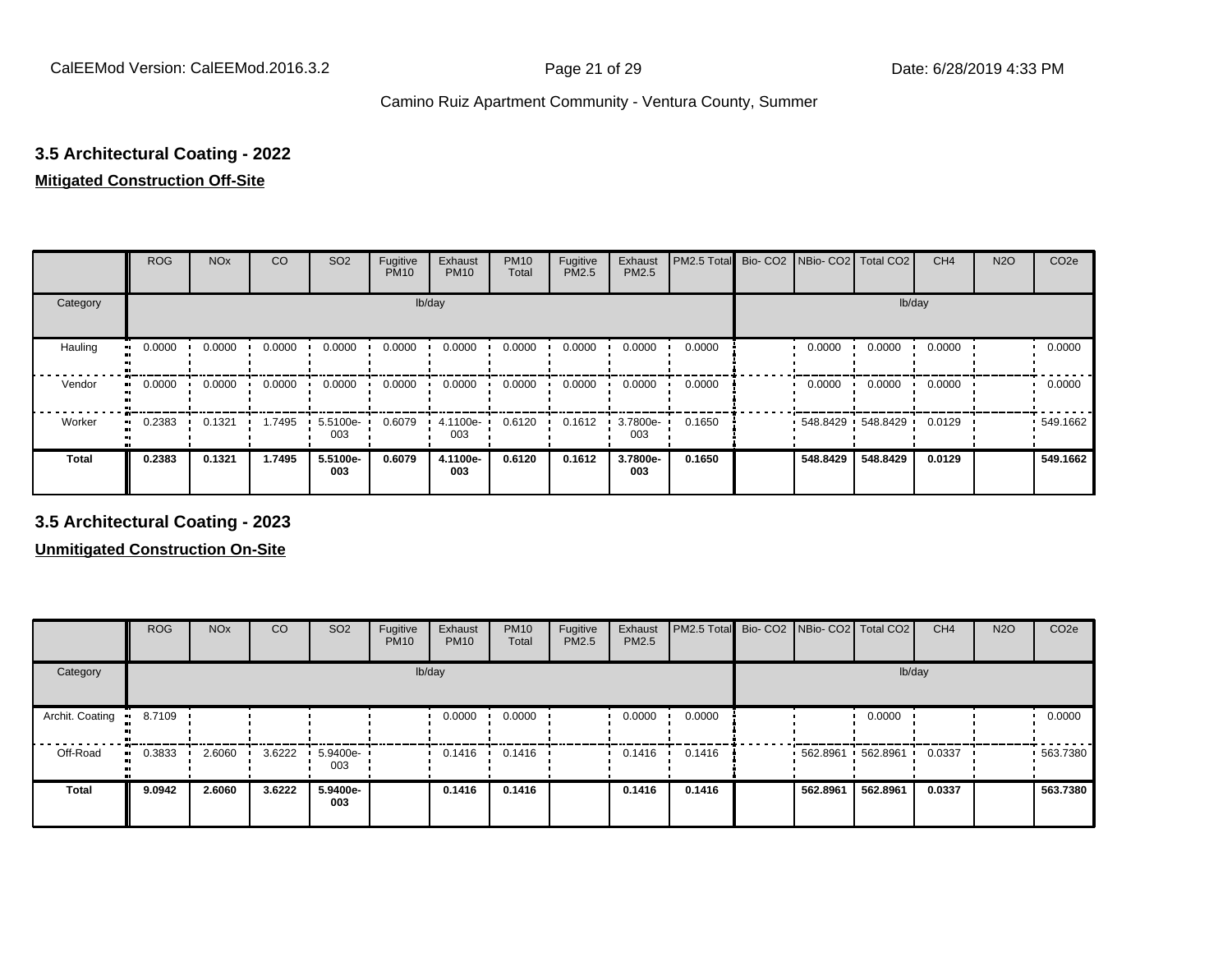# **3.5 Architectural Coating - 2022**

#### **Mitigated Construction Off-Site**

|                     | <b>ROG</b> | <b>NO<sub>x</sub></b> | CO     | SO <sub>2</sub> | Fugitive<br><b>PM10</b> | Exhaust<br><b>PM10</b> | <b>PM10</b><br>Total | Fugitive<br>PM2.5 | Exhaust<br>PM2.5 | PM2.5 Total | Bio-CO2 NBio-CO2 Total CO2 |                   | CH <sub>4</sub> | <b>N2O</b> | CO <sub>2e</sub> |
|---------------------|------------|-----------------------|--------|-----------------|-------------------------|------------------------|----------------------|-------------------|------------------|-------------|----------------------------|-------------------|-----------------|------------|------------------|
| Category            |            |                       |        |                 | lb/day                  |                        |                      |                   |                  |             |                            | lb/day            |                 |            |                  |
| Hauling             | 0.0000     | 0.0000                | 0.0000 | 0.0000          | 0.0000                  | 0.0000                 | 0.0000               | 0.0000            | 0.0000           | 0.0000      | 0.0000                     | 0.0000            | 0.0000          |            | 0.0000           |
| Vendor<br>$\bullet$ | 0.0000     | 0.0000                | 0.0000 | 0.0000          | 0.0000                  | 0.0000                 | 0.0000               | 0.0000            | 0.0000           | 0.0000      | 0.0000                     | 0.0000            | 0.0000          |            | 0.0000           |
| Worker              | 0.2383     | 0.1321                | 1.7495 | 5.5100e-<br>003 | 0.6079                  | 4.1100e-<br>003        | 0.6120               | 0.1612            | 3.7800e-<br>003  | 0.1650      |                            | 548.8429 548.8429 | 0.0129          |            | .549.1662        |
| <b>Total</b>        | 0.2383     | 0.1321                | 1.7495 | 5.5100e-<br>003 | 0.6079                  | 4.1100e-<br>003        | 0.6120               | 0.1612            | 3.7800e-<br>003  | 0.1650      | 548.8429                   | 548.8429          | 0.0129          |            | 549.1662         |

**3.5 Architectural Coating - 2023**

|                         | <b>ROG</b>          | <b>NO<sub>x</sub></b> | CO     | SO <sub>2</sub>         | Fugitive<br><b>PM10</b> | Exhaust<br><b>PM10</b> | <b>PM10</b><br>Total | Fugitive<br><b>PM2.5</b> | Exhaust<br>PM2.5 | PM2.5 Total Bio- CO2 NBio- CO2 Total CO2 |                       |          | CH <sub>4</sub> | <b>N2O</b> | CO <sub>2e</sub> |
|-------------------------|---------------------|-----------------------|--------|-------------------------|-------------------------|------------------------|----------------------|--------------------------|------------------|------------------------------------------|-----------------------|----------|-----------------|------------|------------------|
| Category                |                     |                       |        |                         |                         | lb/day                 |                      |                          |                  |                                          |                       | lb/day   |                 |            |                  |
| Archit. Coating<br>- 91 | 8.7109              |                       |        |                         |                         | 0.0000                 | 0.0000               |                          | 0.0000           | 0.0000                                   |                       | 0.0000   |                 |            | 0.0000           |
| Off-Road                | 0.3833<br>$\bullet$ | 2.6060                | 3.6222 | $\cdot$ 5.9400e-<br>003 |                         | 0.1416                 | 0.1416               |                          | 0.1416           | 0.1416                                   | $562.8961$ 562.8961 · |          | 0.0337          |            | $-563.7380$      |
| <b>Total</b>            | 9.0942              | 2.6060                | 3.6222 | 5.9400e-<br>003         |                         | 0.1416                 | 0.1416               |                          | 0.1416           | 0.1416                                   | 562.8961              | 562.8961 | 0.0337          |            | 563.7380         |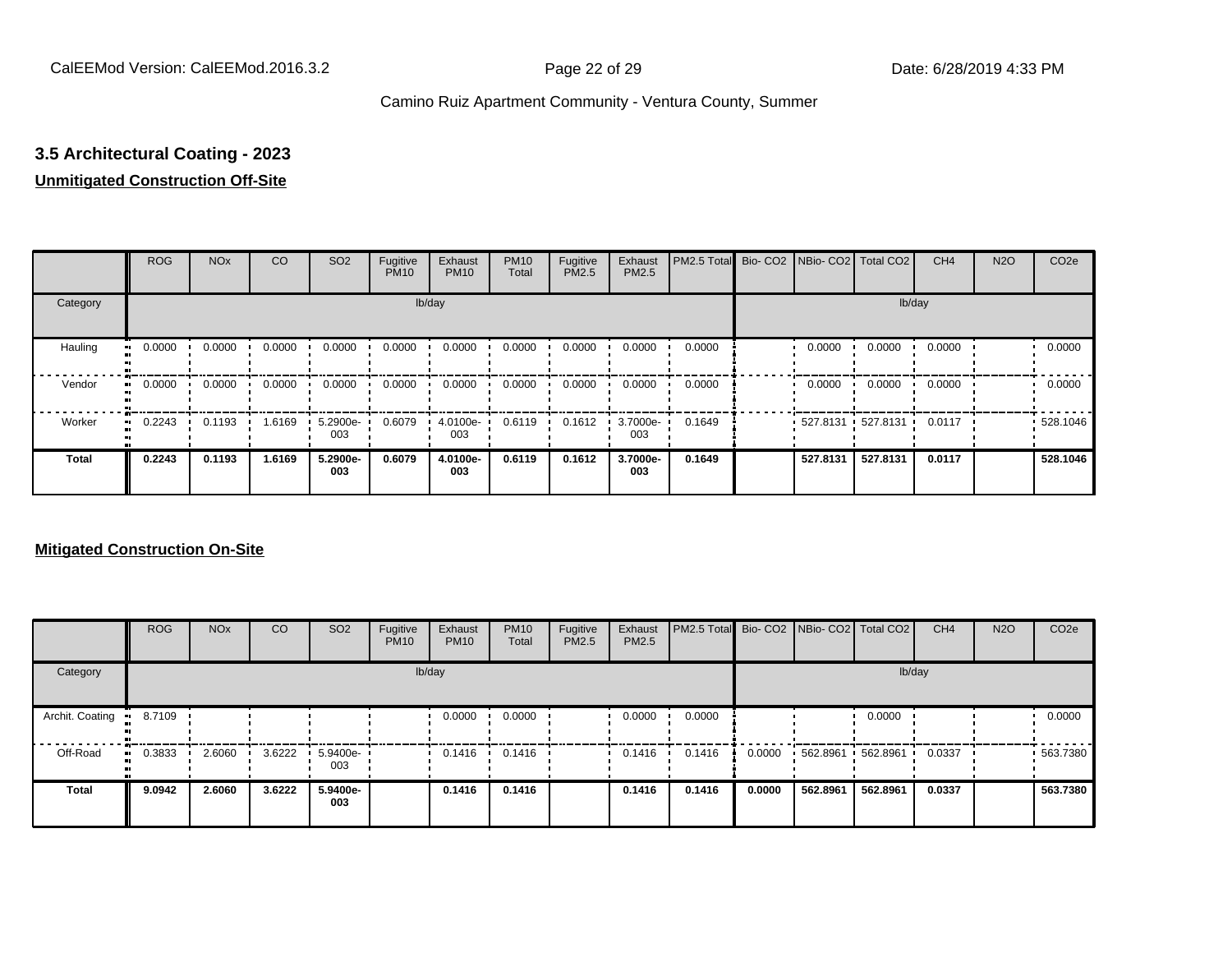# **3.5 Architectural Coating - 2023**

#### **Unmitigated Construction Off-Site**

|                     | <b>ROG</b> | <b>NO<sub>x</sub></b> | <b>CO</b> | SO <sub>2</sub> | Fugitive<br><b>PM10</b> | Exhaust<br><b>PM10</b> | <b>PM10</b><br>Total | Fugitive<br>PM2.5 | Exhaust<br>PM2.5 | PM2.5 Total Bio- CO2 NBio- CO2 Total CO2 |                   |          | CH <sub>4</sub> | <b>N2O</b> | CO <sub>2e</sub> |
|---------------------|------------|-----------------------|-----------|-----------------|-------------------------|------------------------|----------------------|-------------------|------------------|------------------------------------------|-------------------|----------|-----------------|------------|------------------|
| Category            |            |                       |           |                 |                         | lb/day                 |                      |                   |                  |                                          |                   | lb/day   |                 |            |                  |
| Hauling             | 0.0000     | 0.0000                | 0.0000    | 0.0000          | 0.0000                  | 0.0000                 | 0.0000               | 0.0000            | 0.0000           | 0.0000                                   | 0.0000            | 0.0000   | 0.0000          |            | 0.0000           |
| Vendor<br>$\bullet$ | 0.0000     | 0.0000                | 0.0000    | 0.0000          | 0.0000                  | 0.0000                 | 0.0000               | 0.0000            | 0.0000           | 0.0000                                   | 0.0000            | 0.0000   | 0.0000          |            | 0.0000           |
| Worker<br>$\bullet$ | 0.2243     | 0.1193                | 1.6169    | 5.2900e-<br>003 | 0.6079                  | 4.0100e-<br>003        | 0.6119               | 0.1612            | 3.7000e-<br>003  | 0.1649                                   | 527.8131 527.8131 |          | 0.0117          |            | 528.1046         |
| Total               | 0.2243     | 0.1193                | 1.6169    | 5.2900e-<br>003 | 0.6079                  | 4.0100e-<br>003        | 0.6119               | 0.1612            | 3.7000e-<br>003  | 0.1649                                   | 527.8131          | 527.8131 | 0.0117          |            | 528.1046         |

|                 | <b>ROG</b>   | <b>NO<sub>x</sub></b> | CO     | SO <sub>2</sub> | Fugitive<br><b>PM10</b> | Exhaust<br><b>PM10</b> | <b>PM10</b><br>Total | Fugitive<br><b>PM2.5</b> | Exhaust<br><b>PM2.5</b> | PM2.5 Total Bio- CO2 NBio- CO2   Total CO2 |        |          |          | CH <sub>4</sub> | <b>N2O</b> | CO <sub>2e</sub> |
|-----------------|--------------|-----------------------|--------|-----------------|-------------------------|------------------------|----------------------|--------------------------|-------------------------|--------------------------------------------|--------|----------|----------|-----------------|------------|------------------|
| Category        |              |                       |        |                 |                         | lb/day                 |                      |                          |                         |                                            |        |          | lb/day   |                 |            |                  |
| Archit. Coating | 8.7109       |                       |        |                 |                         | 0.0000                 | 0.0000               |                          | 0.0000                  | 0.0000                                     |        |          | 0.0000   |                 |            | 0.0000           |
| Off-Road        | 0.3833<br>ш. | 2.6060                | 3.6222 | 5.9400e-<br>003 |                         | 0.1416                 | 0.1416               |                          | 0.1416                  | 0.1416                                     | 0.0000 | 562.8961 | 562.8961 | 0.0337          |            | .563.7380        |
| <b>Total</b>    | 9.0942       | 2.6060                | 3.6222 | 5.9400e-<br>003 |                         | 0.1416                 | 0.1416               |                          | 0.1416                  | 0.1416                                     | 0.0000 | 562.8961 | 562.8961 | 0.0337          |            | 563.7380         |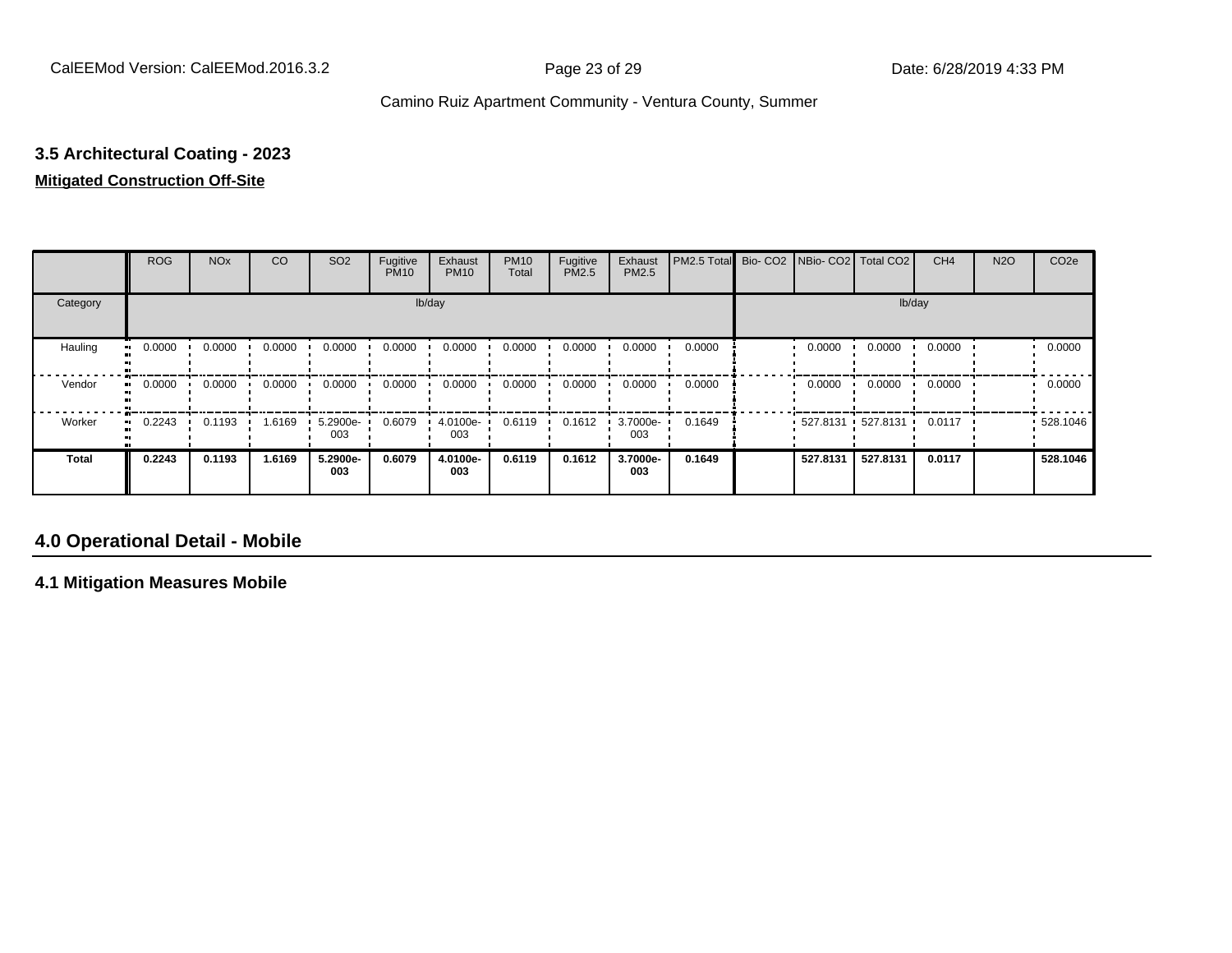# **3.5 Architectural Coating - 2023**

# **Mitigated Construction Off-Site**

|               | <b>ROG</b> | <b>NO<sub>x</sub></b> | CO     | SO <sub>2</sub> | Fugitive<br><b>PM10</b> | Exhaust<br><b>PM10</b> | <b>PM10</b><br>Total | Fugitive<br>PM2.5 | Exhaust<br>PM2.5 | PM2.5 Total | Bio-CO <sub>2</sub> | NBio- CO2   Total CO2 |          | CH <sub>4</sub> | <b>N2O</b> | CO <sub>2e</sub> |
|---------------|------------|-----------------------|--------|-----------------|-------------------------|------------------------|----------------------|-------------------|------------------|-------------|---------------------|-----------------------|----------|-----------------|------------|------------------|
| Category      |            |                       |        |                 | lb/day                  |                        |                      |                   |                  |             |                     |                       | lb/day   |                 |            |                  |
| Hauling<br>ш. | 0.0000     | 0.0000                | 0.0000 | 0.0000          | 0.0000                  | 0.0000                 | 0.0000               | 0.0000            | 0.0000           | 0.0000      |                     | 0.0000                | 0.0000   | 0.0000          |            | 0.0000           |
| Vendor        | 0.0000     | 0.0000                | 0.0000 | 0.0000          | 0.0000                  | 0.0000                 | 0.0000               | 0.0000            | 0.0000           | 0.0000      |                     | 0.0000                | 0.0000   | 0.0000          |            | 0.0000           |
| Worker<br>ш.  | 0.2243     | 0.1193                | 1.6169 | 5.2900e-<br>003 | 0.6079                  | 4.0100e-<br>003        | 0.6119               | 0.1612            | 3.7000e-<br>003  | 0.1649      |                     | 527.8131 527.8131     |          | 0.0117<br>. .   |            | 528.1046         |
| <b>Total</b>  | 0.2243     | 0.1193                | 1.6169 | 5.2900e-<br>003 | 0.6079                  | 4.0100e-<br>003        | 0.6119               | 0.1612            | 3.7000e-<br>003  | 0.1649      |                     | 527.8131              | 527.8131 | 0.0117          |            | 528.1046         |

#### **4.0 Operational Detail - Mobile**

**4.1 Mitigation Measures Mobile**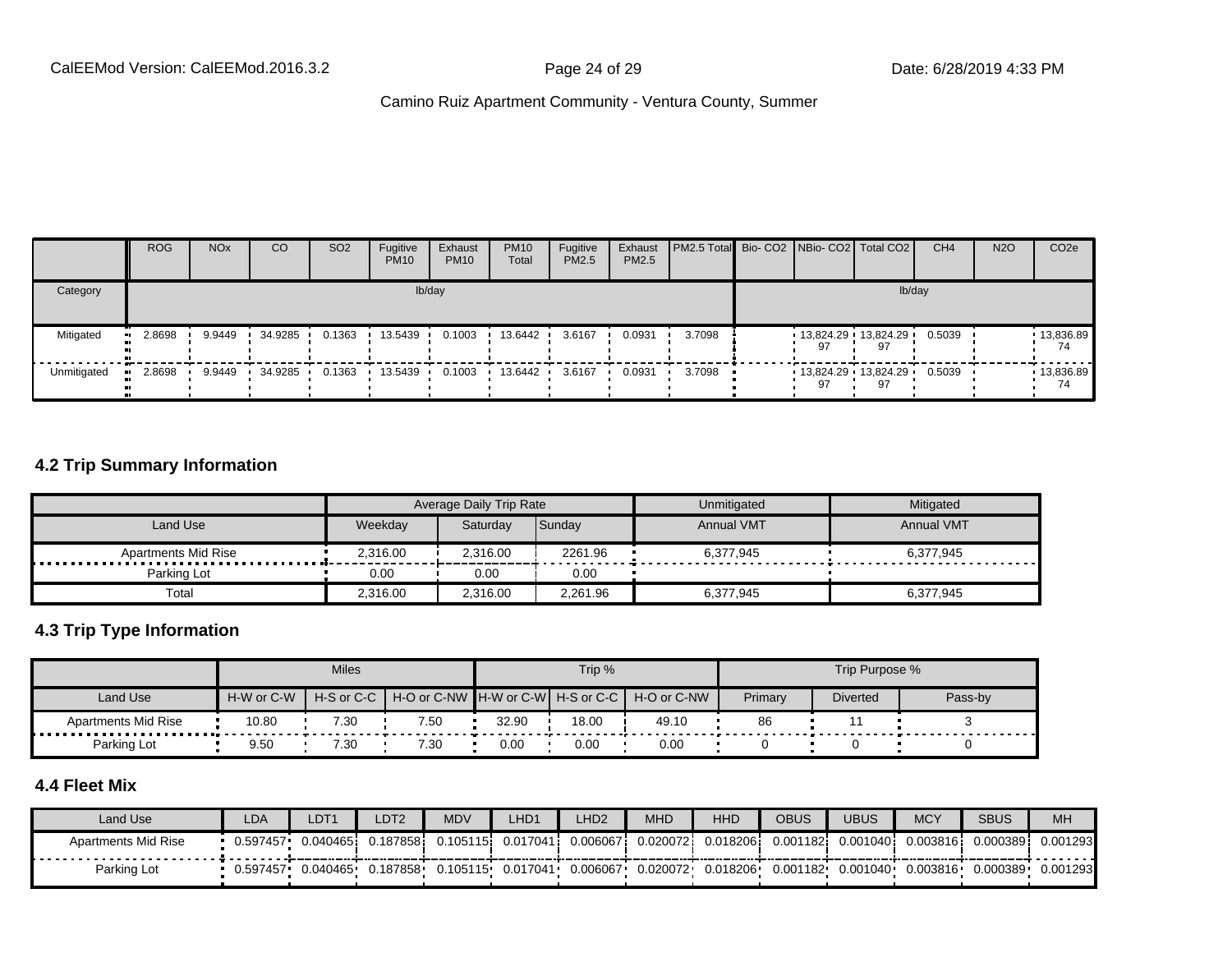|                        | <b>ROG</b> | <b>NO<sub>x</sub></b> | CO      | SO <sub>2</sub> | Fugitive<br><b>PM10</b> | Exhaust<br><b>PM10</b> | <b>PM10</b><br>Total | Fugitive<br><b>PM2.5</b> | Exhaust<br>PM2.5 | <b>PM2.5 Total</b> Bio- CO2 NBio- CO2   Total CO2 |    |                               | CH <sub>4</sub> | <b>N2O</b> | CO <sub>2e</sub>   |
|------------------------|------------|-----------------------|---------|-----------------|-------------------------|------------------------|----------------------|--------------------------|------------------|---------------------------------------------------|----|-------------------------------|-----------------|------------|--------------------|
| Category               |            |                       |         |                 |                         | lb/day                 |                      |                          |                  |                                                   |    | lb/day                        |                 |            |                    |
| Mitigated<br>$\bullet$ | 2.8698     | 9.9449                | 34.9285 | 0.1363          | 13.5439                 | 0.1003                 | 13.6442              | 3.6167                   | 0.0931           | 3.7098                                            | 97 | $13,824.29$ $13,824.29$<br>97 | 0.5039          |            | 13,836.89<br>74    |
| Unmitigated            | 2.8698     | 9.9449                | 34.9285 | 0.1363          | 13.5439                 | 0.1003                 | 13.6442              | 3.6167                   | 0.0931           | 3.7098                                            | 97 | $13,824.29$ $13,824.29$<br>97 | 0.5039          |            | $-13,836.89$<br>74 |

#### **4.2 Trip Summary Information**

|                                |          | <b>Average Daily Trip Rate</b> |          | Unmitigated       | Mitigated         |
|--------------------------------|----------|--------------------------------|----------|-------------------|-------------------|
| Land Use                       | Weekday  | Saturdav                       | Sunday   | <b>Annual VMT</b> | <b>Annual VMT</b> |
| <b>Apartments Mid Rise</b><br> | 2,316.00 | 2.316.00                       | 2261.96  | 6.377.945         | 6.377.945         |
| Parking Lot                    | 0.00     | 0.00                           | 0.00     |                   |                   |
| Total                          | 2,316.00 | 2.316.00                       | 2,261.96 | 6,377,945         | 6,377,945         |

#### **4.3 Trip Type Information**

|                            |            | <b>Miles</b> |                                   |       | Trip % |             |         | Trip Purpose %  |         |
|----------------------------|------------|--------------|-----------------------------------|-------|--------|-------------|---------|-----------------|---------|
| Land Use                   | H-W or C-W | H-S or C-C   | H-O or C-NW H-W or C-W H-S or C-C |       |        | H-O or C-NW | Primary | <b>Diverted</b> | Pass-by |
| <b>Apartments Mid Rise</b> | 10.80      | 7.30         | 7.50                              | 32.90 | 18.00  | 49.10       | 86      |                 |         |
| Parking Lot                | 9.50       | 7.30         | 7.30                              | 0.00  | 0.00   | 0.00        |         |                 |         |

#### **4.4 Fleet Mix**

| Land Use            | LDA      | LDT1      | LDT2      | <b>MDV</b> | LHD1              | LHD <sub>2</sub> | <b>MHD</b> | <b>HHD</b>   | OBUS      | <b>UBUS</b> | <b>MCY</b> | <b>SBUS</b> | <b>MH</b> |
|---------------------|----------|-----------|-----------|------------|-------------------|------------------|------------|--------------|-----------|-------------|------------|-------------|-----------|
| Apartments Mid Rise | 0.597457 | 0.0404651 | J.187858i | 0.105115   | 0.017041 <b>i</b> | 0.006067         | 0.020072   | $0.018206$ i | 0.001182i | 0.0010401   | 0.003816   | 0.000389    | 0.001293  |
| Parking Lot         | 0.597457 | 0.040465  | 0.187858. | 0.105115   | 0.017041+         | 0.006067         | 0.020072   | 0.018206     | 0.001182  | 0.001040    | 0.003816   | 0.000389    | 0.001293  |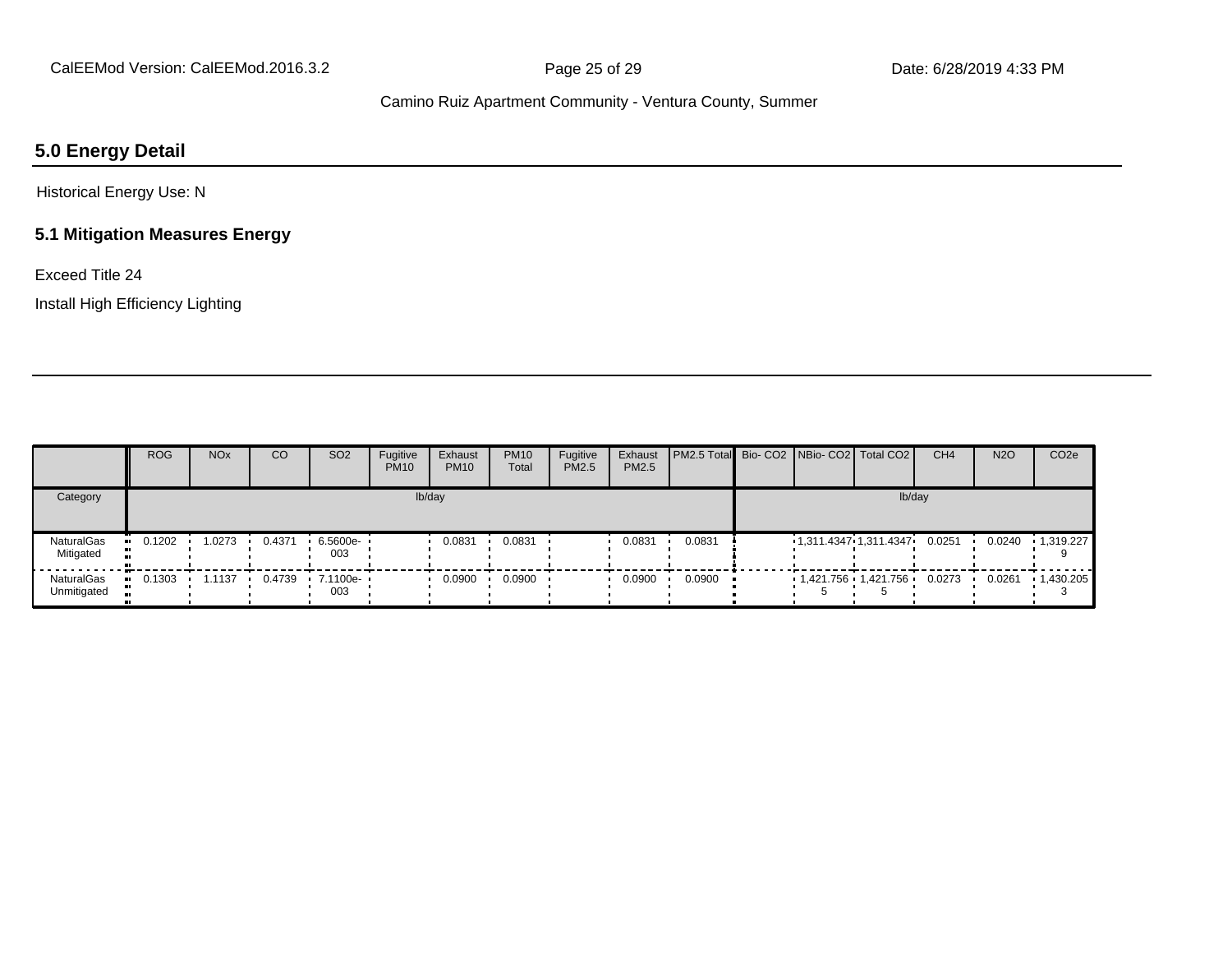#### **5.0 Energy Detail**

Historical Energy Use: N

#### **5.1 Mitigation Measures Energy**

Exceed Title 24

Install High Efficiency Lighting

|                                  | <b>ROG</b> | <b>NO<sub>x</sub></b> | CO     | SO <sub>2</sub>                          | Fugitive<br><b>PM10</b> | Exhaust<br><b>PM10</b> | <b>PM10</b><br>Total | Fugitive<br>PM2.5 | Exhaust<br>PM2.5 | <b>PM2.5 Total Bio-CO2 NBio-CO2 Total CO2</b> |                         |        | CH <sub>4</sub> | <b>N2O</b> | CO <sub>2e</sub>  |
|----------------------------------|------------|-----------------------|--------|------------------------------------------|-------------------------|------------------------|----------------------|-------------------|------------------|-----------------------------------------------|-------------------------|--------|-----------------|------------|-------------------|
| Category                         |            |                       |        |                                          |                         | lb/day                 |                      |                   |                  |                                               |                         | lb/day |                 |            |                   |
| NaturalGas<br>Mitigated          | 0.1202     | 1.0273                | 0.4371 | $6.5600e-$<br>003                        |                         | 0.0831                 | 0.0831               |                   | 0.0831           | 0.0831                                        | 1,311.4347 1,311.4347   |        | 0.0251          | 0.0240     | 1,319.227         |
| <b>NaturalGas</b><br>Unmitigated | 0.1303     | 1.1137                |        | $0.4739$ $\cdot$ 7.1100e- $\cdot$<br>003 |                         | 0.0900                 | 0.0900               |                   | 0.0900           | 0.0900                                        | $1,421.756$ $1,421.756$ |        | 0.0273          | 0.0261     | $\cdot$ 1,430.205 |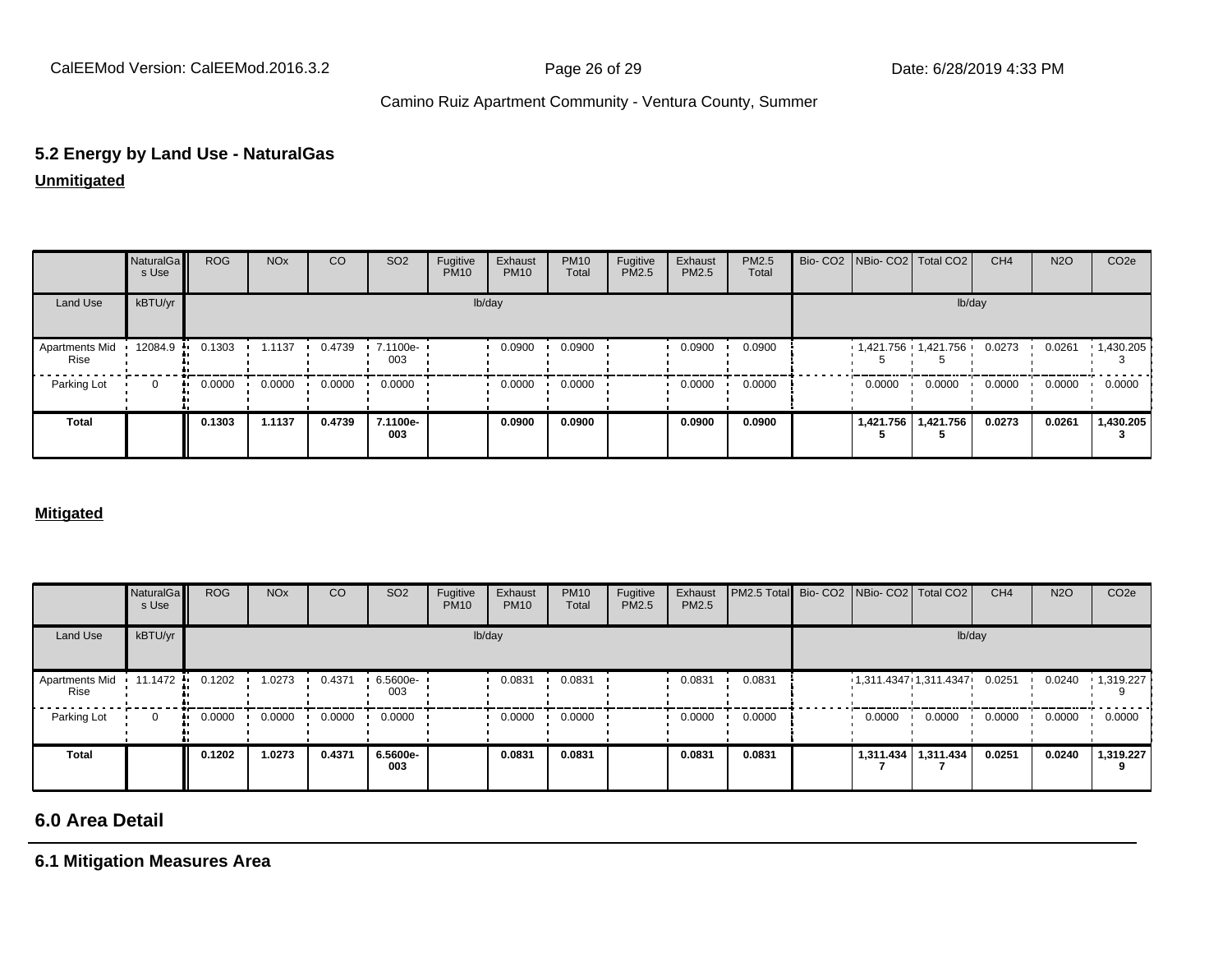# **5.2 Energy by Land Use - NaturalGas**

**Unmitigated**

|                        | NaturalGa<br>s Use | <b>ROG</b> | <b>NO<sub>x</sub></b> | CO     | SO <sub>2</sub>   | Fugitive<br><b>PM10</b> | Exhaust<br><b>PM10</b> | <b>PM10</b><br>Total | Fugitive<br>PM2.5 | Exhaust<br>PM2.5 | PM2.5<br>Total | Bio- CO2   NBio- CO2   Total CO2 |                       | CH <sub>4</sub> | <b>N2O</b> | CO <sub>2</sub> e |
|------------------------|--------------------|------------|-----------------------|--------|-------------------|-------------------------|------------------------|----------------------|-------------------|------------------|----------------|----------------------------------|-----------------------|-----------------|------------|-------------------|
| Land Use               | kBTU/yr            |            |                       |        |                   |                         | lb/day                 |                      |                   |                  |                |                                  | lb/day                |                 |            |                   |
| Apartments Mid<br>Rise | 12084.9            | 0.1303     | 1.1137                | 0.4739 | $.71100e-$<br>003 |                         | 0.0900                 | 0.0900               |                   | 0.0900           | 0.0900         | $1,421.756$ $1,421.756$ 0.0273   |                       |                 | 0.0261     | 1,430.205         |
| Parking Lot            | $\mathbf 0$        | 0.0000     | 0.0000                | 0.0000 | 0.0000            |                         | 0.0000                 | 0.0000               |                   | 0.0000           | 0.0000         | 0.0000                           | 0.0000                | 0.0000          | 0.0000     | 0.0000            |
| <b>Total</b>           |                    | 0.1303     | 1.1137                | 0.4739 | 7.1100e-<br>003   |                         | 0.0900                 | 0.0900               |                   | 0.0900           | 0.0900         |                                  | 1,421.756   1,421.756 | 0.0273          | 0.0261     | 1,430.205         |

#### **Mitigated**

|                        | NaturalGa<br>s Use | <b>ROG</b> | <b>NO<sub>x</sub></b> | CO     | SO <sub>2</sub> | Fugitive<br><b>PM10</b> | Exhaust<br><b>PM10</b> | <b>PM10</b><br>Total | Fugitive<br>PM2.5 | Exhaust<br>PM2.5 | PM2.5 Total Bio- CO2 NBio- CO2 Total CO2 |        |                       | CH <sub>4</sub> | <b>N2O</b> | CO <sub>2e</sub>  |
|------------------------|--------------------|------------|-----------------------|--------|-----------------|-------------------------|------------------------|----------------------|-------------------|------------------|------------------------------------------|--------|-----------------------|-----------------|------------|-------------------|
| Land Use               | kBTU/yr            |            |                       |        |                 |                         | lb/day                 |                      |                   |                  |                                          |        | lb/day                |                 |            |                   |
| Apartments Mid<br>Rise | 11.1472 ·          | 0.1202     | 1.0273                | 0.4371 | 6.5600e-<br>003 |                         | 0.0831                 | 0.0831               |                   | 0.0831           | 0.0831                                   |        | 1,311.4347 1,311.4347 | 0.0251          | 0.0240     | $\cdot$ 1,319.227 |
| Parking Lot            | $\mathbf{0}$       | 0.0000     | 0.0000                | 0.0000 | 0.0000          |                         | 0.0000                 | 0.0000               |                   | 0.0000           | 0.0000                                   | 0.0000 | 0.0000                | 0.0000          | 0.0000     | 0.0000            |
| <b>Total</b>           |                    | 0.1202     | 1.0273                | 0.4371 | 6.5600e-<br>003 |                         | 0.0831                 | 0.0831               |                   | 0.0831           | 0.0831                                   |        | 1,311.434   1,311.434 | 0.0251          | 0.0240     | 1,319.227         |

#### **6.0 Area Detail**

**6.1 Mitigation Measures Area**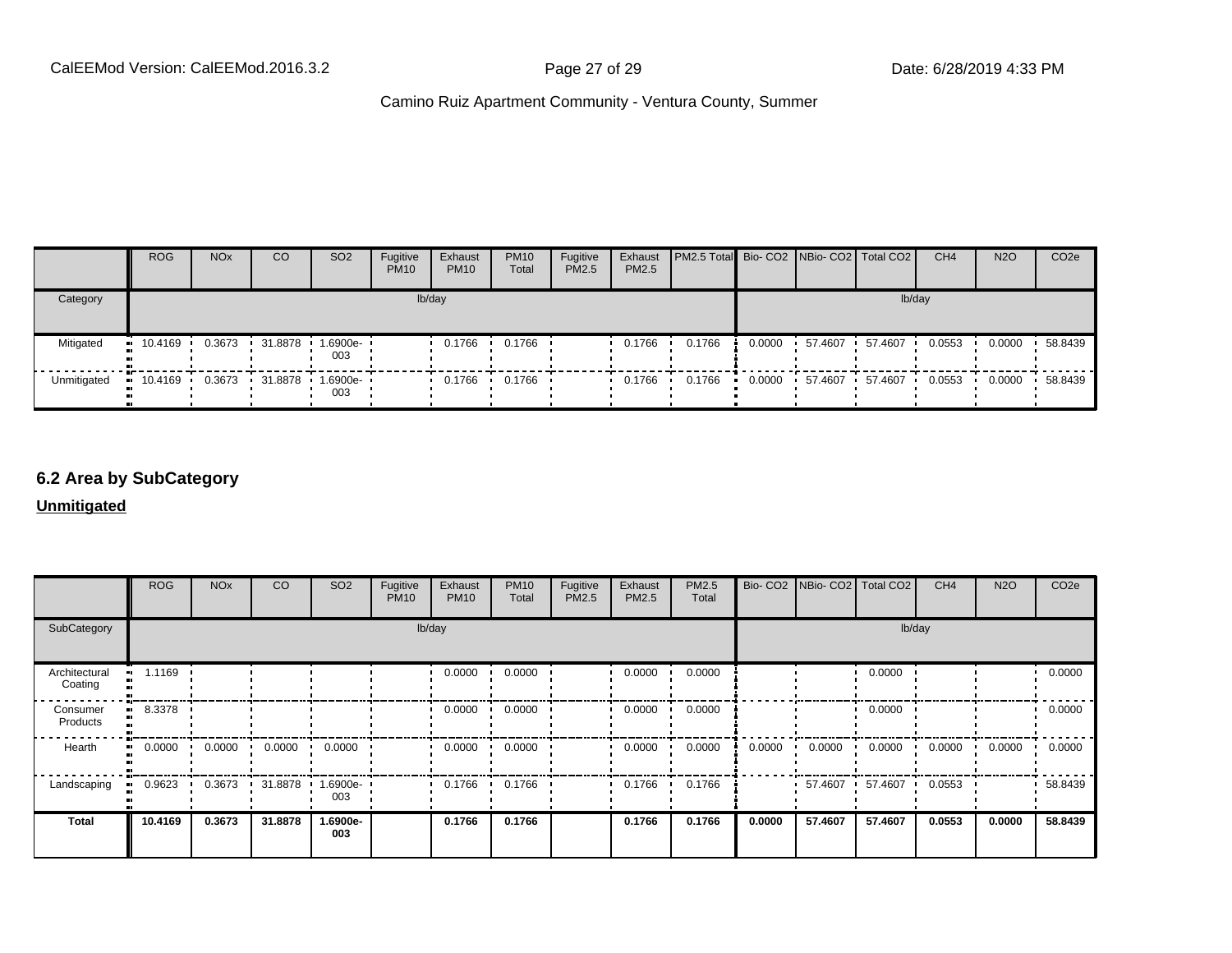|             | <b>ROG</b>             | <b>NO<sub>x</sub></b> | CO        | SO <sub>2</sub>         | Fugitive<br><b>PM10</b> | Exhaust<br><b>PM10</b> | <b>PM10</b><br><b>Total</b> | Fugitive<br>PM2.5 | Exhaust<br><b>PM2.5</b> | <b>PM2.5 Total</b> Bio- CO2 NBio- CO2   Total CO2 |        |         |         | CH <sub>4</sub> | <b>N2O</b> | CO <sub>2e</sub> |
|-------------|------------------------|-----------------------|-----------|-------------------------|-------------------------|------------------------|-----------------------------|-------------------|-------------------------|---------------------------------------------------|--------|---------|---------|-----------------|------------|------------------|
| Category    |                        |                       |           |                         |                         | lb/day                 |                             |                   |                         |                                                   |        |         | lb/day  |                 |            |                  |
| Mitigated   | $\blacksquare$ 10.4169 | 0.3673                | 31.8878 1 | 1.6900e-<br>003         |                         | 0.1766                 | 0.1766                      |                   | 0.1766                  | 0.1766                                            | 0.0000 | 57.4607 | 57.4607 | 0.0553          | 0.0000     | 58.8439          |
| Unmitigated | $\blacksquare$ 10.4169 | 0.3673                |           | 31.8878  1.6900e<br>003 |                         | 0.1766                 | 0.1766                      |                   | 0.1766                  | 0.1766                                            | 0.0000 | 57.4607 | 57.4607 | 0.0553          | 0.0000     | 58.8439          |

#### **6.2 Area by SubCategory**

**Unmitigated**

|                                      | <b>ROG</b> | <b>NO<sub>x</sub></b> | <b>CO</b> | SO <sub>2</sub>    | Fugitive<br><b>PM10</b> | Exhaust<br><b>PM10</b> | <b>PM10</b><br>Total | Fugitive<br>PM2.5 | Exhaust<br>PM2.5 | PM2.5<br>Total |        | Bio- CO2   NBio- CO2   Total CO2 |         | CH <sub>4</sub> | <b>N2O</b> | CO <sub>2e</sub> |
|--------------------------------------|------------|-----------------------|-----------|--------------------|-------------------------|------------------------|----------------------|-------------------|------------------|----------------|--------|----------------------------------|---------|-----------------|------------|------------------|
| SubCategory                          |            |                       |           |                    | lb/day                  |                        |                      |                   |                  |                |        |                                  | lb/day  |                 |            |                  |
| Architectural<br>Coating             | 1.1169     |                       |           |                    |                         | 0.0000                 | 0.0000               |                   | 0.0000           | 0.0000         |        |                                  | 0.0000  |                 |            | 0.0000           |
| Consumer<br>$\mathbf{u}$<br>Products | 8.3378     |                       |           |                    |                         | 0.0000                 | 0.0000               |                   | 0.0000           | 0.0000         |        |                                  | 0.0000  |                 |            | 0.0000           |
| Hearth<br>ш.                         | 0.0000     | 0.0000                | 0.0000    | 0.0000             |                         | 0.0000                 | 0.0000               |                   | 0.0000           | 0.0000         | 0.0000 | 0.0000                           | 0.0000  | 0.0000          | 0.0000     | 0.0000           |
| Landscaping                          | 0.9623     | 0.3673                | 31.8878   | $1.6900e -$<br>003 |                         | 0.1766                 | 0.1766               |                   | 0.1766           | 0.1766         |        | 57.4607 •                        | 57.4607 | 0.0553          |            | 58.8439          |
| <b>Total</b>                         | 10.4169    | 0.3673                | 31.8878   | 1.6900e-<br>003    |                         | 0.1766                 | 0.1766               |                   | 0.1766           | 0.1766         | 0.0000 | 57.4607                          | 57.4607 | 0.0553          | 0.0000     | 58.8439          |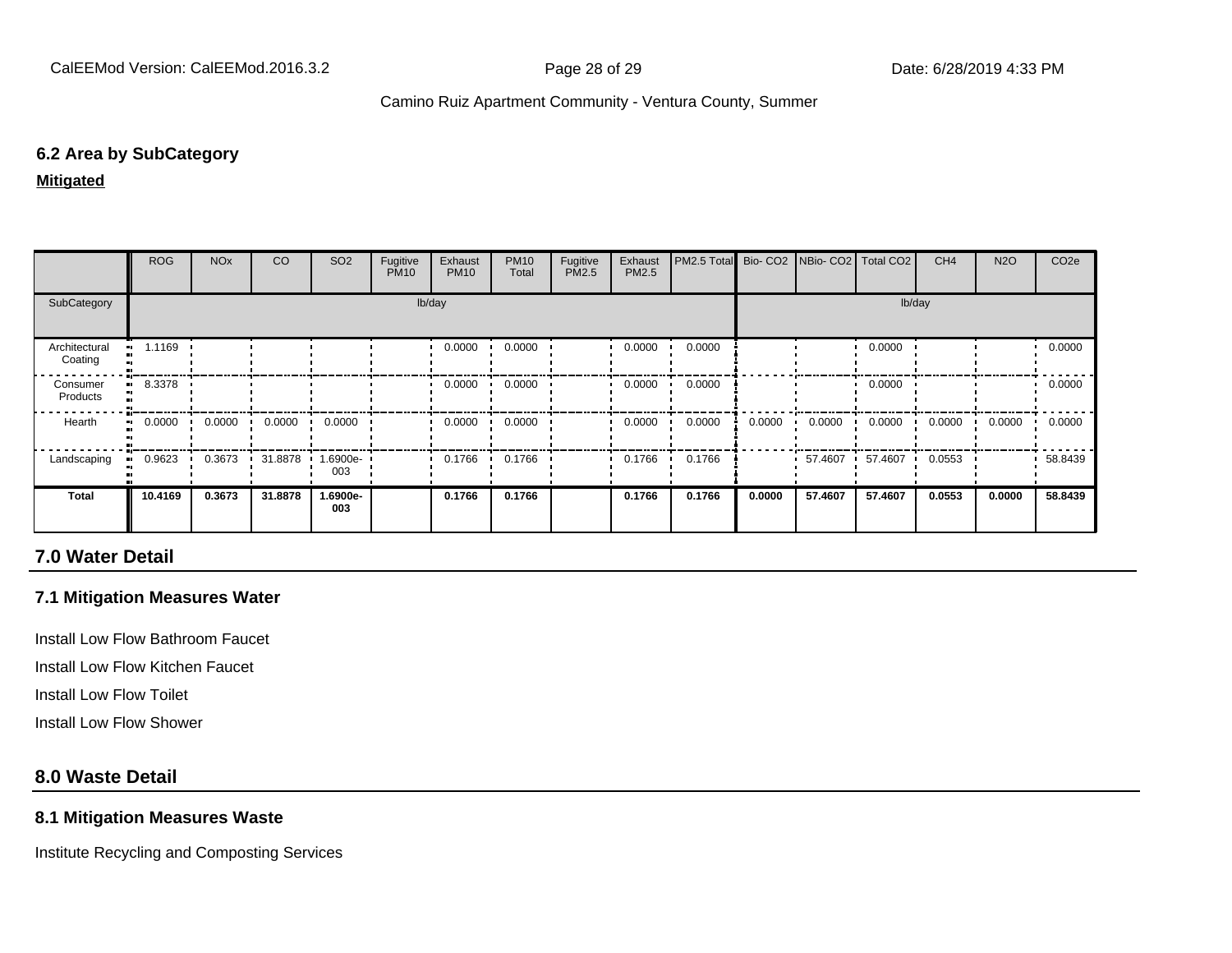#### **6.2 Area by SubCategory**

**Mitigated**

|                          | <b>ROG</b> | <b>NO<sub>x</sub></b> | CO      | SO <sub>2</sub> | Fugitive<br><b>PM10</b> | Exhaust<br><b>PM10</b> | <b>PM10</b><br>Total | Fugitive<br>PM2.5 | Exhaust<br>PM2.5 | PM2.5 Total Bio- CO2 NBio- CO2 Total CO2 |        |         |         | CH <sub>4</sub> | <b>N2O</b> | CO <sub>2</sub> e |
|--------------------------|------------|-----------------------|---------|-----------------|-------------------------|------------------------|----------------------|-------------------|------------------|------------------------------------------|--------|---------|---------|-----------------|------------|-------------------|
| SubCategory              | lb/day     |                       |         |                 |                         |                        |                      |                   | lb/day           |                                          |        |         |         |                 |            |                   |
| Architectural<br>Coating | 1.1169     |                       |         |                 |                         | 0.0000                 | 0.0000               |                   | 0.0000           | 0.0000                                   |        |         | 0.0000  |                 |            | 0.0000            |
| Consumer<br>Products     | 8.3378     |                       |         |                 |                         | 0.0000                 | 0.0000               |                   | 0.0000           | 0.0000                                   |        |         | 0.0000  |                 |            | 0.0000            |
| Hearth                   | 0.0000     | 0.0000                | 0.0000  | 0.0000          |                         | 0.0000                 | 0.0000               |                   | 0.0000           | 0.0000                                   | 0.0000 | 0.0000  | 0.0000  | 0.0000          | 0.0000     | 0.0000            |
| Landscaping              | 0.9623     | 0.3673                | 31.8878 | -.6900e<br>003  |                         | 0.1766                 | 0.1766               |                   | 0.1766           | 0.1766                                   |        | 57.4607 | 57.4607 | 0.0553          |            | 58.8439           |
| <b>Total</b>             | 10.4169    | 0.3673                | 31.8878 | 1.6900e-<br>003 |                         | 0.1766                 | 0.1766               |                   | 0.1766           | 0.1766                                   | 0.0000 | 57.4607 | 57.4607 | 0.0553          | 0.0000     | 58.8439           |

#### **7.0 Water Detail**

#### **7.1 Mitigation Measures Water**

Install Low Flow Bathroom Faucet

Install Low Flow Kitchen Faucet

Install Low Flow Toilet

Install Low Flow Shower

#### **8.0 Waste Detail**

#### **8.1 Mitigation Measures Waste**

Institute Recycling and Composting Services